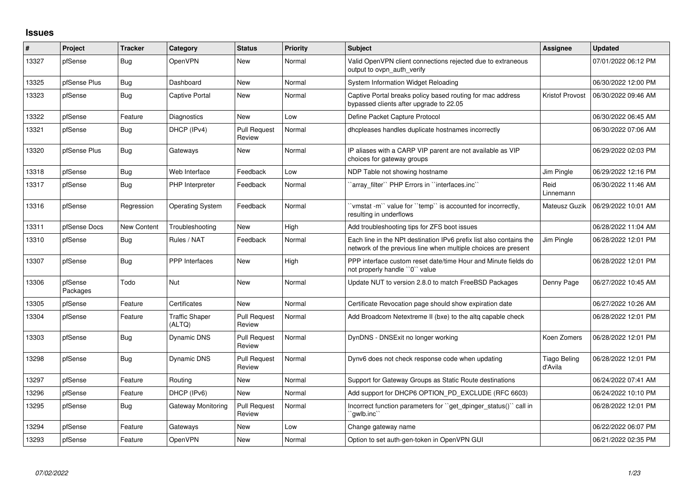## **Issues**

| $\#$  | Project             | <b>Tracker</b>     | Category                        | <b>Status</b>                 | Priority | <b>Subject</b>                                                                                                                        | <b>Assignee</b>                | <b>Updated</b>      |
|-------|---------------------|--------------------|---------------------------------|-------------------------------|----------|---------------------------------------------------------------------------------------------------------------------------------------|--------------------------------|---------------------|
| 13327 | pfSense             | <b>Bug</b>         | OpenVPN                         | <b>New</b>                    | Normal   | Valid OpenVPN client connections rejected due to extraneous<br>output to ovpn auth verify                                             |                                | 07/01/2022 06:12 PM |
| 13325 | pfSense Plus        | Bug                | Dashboard                       | <b>New</b>                    | Normal   | System Information Widget Reloading                                                                                                   |                                | 06/30/2022 12:00 PM |
| 13323 | pfSense             | Bug                | <b>Captive Portal</b>           | New                           | Normal   | Captive Portal breaks policy based routing for mac address<br>bypassed clients after upgrade to 22.05                                 | Kristof Provost                | 06/30/2022 09:46 AM |
| 13322 | pfSense             | Feature            | <b>Diagnostics</b>              | <b>New</b>                    | Low      | Define Packet Capture Protocol                                                                                                        |                                | 06/30/2022 06:45 AM |
| 13321 | pfSense             | <b>Bug</b>         | DHCP (IPv4)                     | <b>Pull Request</b><br>Review | Normal   | dhcpleases handles duplicate hostnames incorrectly                                                                                    |                                | 06/30/2022 07:06 AM |
| 13320 | pfSense Plus        | <b>Bug</b>         | Gateways                        | <b>New</b>                    | Normal   | IP aliases with a CARP VIP parent are not available as VIP<br>choices for gateway groups                                              |                                | 06/29/2022 02:03 PM |
| 13318 | pfSense             | Bug                | Web Interface                   | Feedback                      | Low      | NDP Table not showing hostname                                                                                                        | Jim Pingle                     | 06/29/2022 12:16 PM |
| 13317 | pfSense             | <b>Bug</b>         | PHP Interpreter                 | Feedback                      | Normal   | 'array_filter'' PHP Errors in ''interfaces.inc''                                                                                      | Reid<br>Linnemann              | 06/30/2022 11:46 AM |
| 13316 | pfSense             | Regression         | <b>Operating System</b>         | Feedback                      | Normal   | 'vmstat -m'` value for ''temp'' is accounted for incorrectly,<br>resulting in underflows                                              | Mateusz Guzik                  | 06/29/2022 10:01 AM |
| 13311 | pfSense Docs        | <b>New Content</b> | Troubleshooting                 | <b>New</b>                    | High     | Add troubleshooting tips for ZFS boot issues                                                                                          |                                | 06/28/2022 11:04 AM |
| 13310 | pfSense             | Bug                | Rules / NAT                     | Feedback                      | Normal   | Each line in the NPt destination IPv6 prefix list also contains the<br>network of the previous line when multiple choices are present | Jim Pingle                     | 06/28/2022 12:01 PM |
| 13307 | pfSense             | Bug                | PPP Interfaces                  | New                           | High     | PPP interface custom reset date/time Hour and Minute fields do<br>not properly handle "0" value                                       |                                | 06/28/2022 12:01 PM |
| 13306 | pfSense<br>Packages | Todo               | Nut                             | <b>New</b>                    | Normal   | Update NUT to version 2.8.0 to match FreeBSD Packages                                                                                 | Denny Page                     | 06/27/2022 10:45 AM |
| 13305 | pfSense             | Feature            | Certificates                    | <b>New</b>                    | Normal   | Certificate Revocation page should show expiration date                                                                               |                                | 06/27/2022 10:26 AM |
| 13304 | pfSense             | Feature            | <b>Traffic Shaper</b><br>(ALTQ) | <b>Pull Request</b><br>Review | Normal   | Add Broadcom Netextreme II (bxe) to the altg capable check                                                                            |                                | 06/28/2022 12:01 PM |
| 13303 | pfSense             | <b>Bug</b>         | Dynamic DNS                     | <b>Pull Request</b><br>Review | Normal   | DynDNS - DNSExit no longer working                                                                                                    | Koen Zomers                    | 06/28/2022 12:01 PM |
| 13298 | pfSense             | Bug                | Dynamic DNS                     | <b>Pull Request</b><br>Review | Normal   | Dynv6 does not check response code when updating                                                                                      | <b>Tiago Beling</b><br>d'Avila | 06/28/2022 12:01 PM |
| 13297 | pfSense             | Feature            | Routing                         | New                           | Normal   | Support for Gateway Groups as Static Route destinations                                                                               |                                | 06/24/2022 07:41 AM |
| 13296 | pfSense             | Feature            | DHCP (IPv6)                     | New                           | Normal   | Add support for DHCP6 OPTION_PD_EXCLUDE (RFC 6603)                                                                                    |                                | 06/24/2022 10:10 PM |
| 13295 | pfSense             | <b>Bug</b>         | Gateway Monitoring              | <b>Pull Request</b><br>Review | Normal   | Incorrect function parameters for "get dpinger status()" call in<br>`gwlb.inc``                                                       |                                | 06/28/2022 12:01 PM |
| 13294 | pfSense             | Feature            | Gateways                        | <b>New</b>                    | Low      | Change gateway name                                                                                                                   |                                | 06/22/2022 06:07 PM |
| 13293 | pfSense             | Feature            | OpenVPN                         | New                           | Normal   | Option to set auth-gen-token in OpenVPN GUI                                                                                           |                                | 06/21/2022 02:35 PM |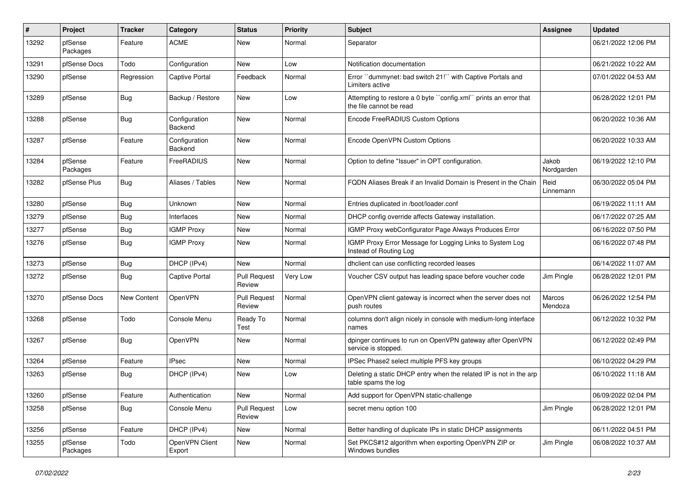| #     | Project             | <b>Tracker</b> | Category                        | <b>Status</b>                 | <b>Priority</b> | <b>Subject</b>                                                                              | <b>Assignee</b>     | <b>Updated</b>      |
|-------|---------------------|----------------|---------------------------------|-------------------------------|-----------------|---------------------------------------------------------------------------------------------|---------------------|---------------------|
| 13292 | pfSense<br>Packages | Feature        | <b>ACME</b>                     | New                           | Normal          | Separator                                                                                   |                     | 06/21/2022 12:06 PM |
| 13291 | pfSense Docs        | Todo           | Configuration                   | New                           | Low             | Notification documentation                                                                  |                     | 06/21/2022 10:22 AM |
| 13290 | pfSense             | Regression     | <b>Captive Portal</b>           | Feedback                      | Normal          | Error "dummynet: bad switch 21!" with Captive Portals and<br>Limiters active                |                     | 07/01/2022 04:53 AM |
| 13289 | pfSense             | Bug            | Backup / Restore                | New                           | Low             | Attempting to restore a 0 byte "config.xml" prints an error that<br>the file cannot be read |                     | 06/28/2022 12:01 PM |
| 13288 | pfSense             | Bug            | Configuration<br>Backend        | New                           | Normal          | Encode FreeRADIUS Custom Options                                                            |                     | 06/20/2022 10:36 AM |
| 13287 | pfSense             | Feature        | Configuration<br><b>Backend</b> | <b>New</b>                    | Normal          | Encode OpenVPN Custom Options                                                               |                     | 06/20/2022 10:33 AM |
| 13284 | pfSense<br>Packages | Feature        | FreeRADIUS                      | <b>New</b>                    | Normal          | Option to define "Issuer" in OPT configuration.                                             | Jakob<br>Nordgarden | 06/19/2022 12:10 PM |
| 13282 | pfSense Plus        | Bug            | Aliases / Tables                | <b>New</b>                    | Normal          | FQDN Aliases Break if an Invalid Domain is Present in the Chain                             | Reid<br>Linnemann   | 06/30/2022 05:04 PM |
| 13280 | pfSense             | <b>Bug</b>     | <b>Unknown</b>                  | New                           | Normal          | Entries duplicated in /boot/loader.conf                                                     |                     | 06/19/2022 11:11 AM |
| 13279 | pfSense             | <b>Bug</b>     | Interfaces                      | New                           | Normal          | DHCP config override affects Gateway installation.                                          |                     | 06/17/2022 07:25 AM |
| 13277 | pfSense             | <b>Bug</b>     | <b>IGMP Proxy</b>               | New                           | Normal          | IGMP Proxy webConfigurator Page Always Produces Error                                       |                     | 06/16/2022 07:50 PM |
| 13276 | pfSense             | <b>Bug</b>     | <b>IGMP Proxy</b>               | New                           | Normal          | IGMP Proxy Error Message for Logging Links to System Log<br>Instead of Routing Log          |                     | 06/16/2022 07:48 PM |
| 13273 | pfSense             | Bug            | DHCP (IPv4)                     | New                           | Normal          | dhclient can use conflicting recorded leases                                                |                     | 06/14/2022 11:07 AM |
| 13272 | pfSense             | Bug            | <b>Captive Portal</b>           | <b>Pull Request</b><br>Review | Very Low        | Voucher CSV output has leading space before voucher code                                    | Jim Pingle          | 06/28/2022 12:01 PM |
| 13270 | pfSense Docs        | New Content    | OpenVPN                         | <b>Pull Request</b><br>Review | Normal          | OpenVPN client gateway is incorrect when the server does not<br>push routes                 | Marcos<br>Mendoza   | 06/26/2022 12:54 PM |
| 13268 | pfSense             | Todo           | Console Menu                    | Ready To<br>Test              | Normal          | columns don't align nicely in console with medium-long interface<br>names                   |                     | 06/12/2022 10:32 PM |
| 13267 | pfSense             | Bug            | OpenVPN                         | New                           | Normal          | dpinger continues to run on OpenVPN gateway after OpenVPN<br>service is stopped.            |                     | 06/12/2022 02:49 PM |
| 13264 | pfSense             | Feature        | <b>IPsec</b>                    | New                           | Normal          | IPSec Phase2 select multiple PFS key groups                                                 |                     | 06/10/2022 04:29 PM |
| 13263 | pfSense             | <b>Bug</b>     | DHCP (IPv4)                     | New                           | Low             | Deleting a static DHCP entry when the related IP is not in the arp<br>table spams the log   |                     | 06/10/2022 11:18 AM |
| 13260 | pfSense             | Feature        | Authentication                  | New                           | Normal          | Add support for OpenVPN static-challenge                                                    |                     | 06/09/2022 02:04 PM |
| 13258 | pfSense             | <b>Bug</b>     | Console Menu                    | <b>Pull Request</b><br>Review | Low             | secret menu option 100                                                                      | Jim Pingle          | 06/28/2022 12:01 PM |
| 13256 | pfSense             | Feature        | DHCP (IPv4)                     | New                           | Normal          | Better handling of duplicate IPs in static DHCP assignments                                 |                     | 06/11/2022 04:51 PM |
| 13255 | pfSense<br>Packages | Todo           | OpenVPN Client<br>Export        | New                           | Normal          | Set PKCS#12 algorithm when exporting OpenVPN ZIP or<br>Windows bundles                      | Jim Pingle          | 06/08/2022 10:37 AM |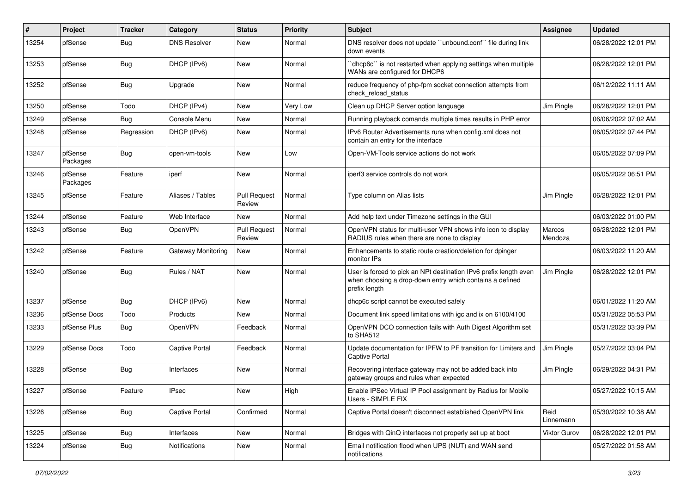| ∦     | Project             | Tracker    | Category                  | <b>Status</b>                 | <b>Priority</b> | <b>Subject</b>                                                                                                                                 | <b>Assignee</b>   | <b>Updated</b>      |
|-------|---------------------|------------|---------------------------|-------------------------------|-----------------|------------------------------------------------------------------------------------------------------------------------------------------------|-------------------|---------------------|
| 13254 | pfSense             | <b>Bug</b> | <b>DNS Resolver</b>       | New                           | Normal          | DNS resolver does not update "unbound.conf" file during link<br>down events                                                                    |                   | 06/28/2022 12:01 PM |
| 13253 | pfSense             | <b>Bug</b> | DHCP (IPv6)               | New                           | Normal          | 'dhcp6c' is not restarted when applying settings when multiple<br>WANs are configured for DHCP6                                                |                   | 06/28/2022 12:01 PM |
| 13252 | pfSense             | <b>Bug</b> | Upgrade                   | New                           | Normal          | reduce frequency of php-fpm socket connection attempts from<br>check reload status                                                             |                   | 06/12/2022 11:11 AM |
| 13250 | pfSense             | Todo       | DHCP (IPv4)               | New                           | Very Low        | Clean up DHCP Server option language                                                                                                           | Jim Pingle        | 06/28/2022 12:01 PM |
| 13249 | pfSense             | <b>Bug</b> | Console Menu              | <b>New</b>                    | Normal          | Running playback comands multiple times results in PHP error                                                                                   |                   | 06/06/2022 07:02 AM |
| 13248 | pfSense             | Regression | DHCP (IPv6)               | New                           | Normal          | IPv6 Router Advertisements runs when config.xml does not<br>contain an entry for the interface                                                 |                   | 06/05/2022 07:44 PM |
| 13247 | pfSense<br>Packages | Bug        | open-vm-tools             | New                           | Low             | Open-VM-Tools service actions do not work                                                                                                      |                   | 06/05/2022 07:09 PM |
| 13246 | pfSense<br>Packages | Feature    | iperf                     | <b>New</b>                    | Normal          | iperf3 service controls do not work                                                                                                            |                   | 06/05/2022 06:51 PM |
| 13245 | pfSense             | Feature    | Aliases / Tables          | <b>Pull Request</b><br>Review | Normal          | Type column on Alias lists                                                                                                                     | Jim Pingle        | 06/28/2022 12:01 PM |
| 13244 | pfSense             | Feature    | Web Interface             | New                           | Normal          | Add help text under Timezone settings in the GUI                                                                                               |                   | 06/03/2022 01:00 PM |
| 13243 | pfSense             | <b>Bug</b> | OpenVPN                   | <b>Pull Request</b><br>Review | Normal          | OpenVPN status for multi-user VPN shows info icon to display<br>RADIUS rules when there are none to display                                    | Marcos<br>Mendoza | 06/28/2022 12:01 PM |
| 13242 | pfSense             | Feature    | <b>Gateway Monitoring</b> | New                           | Normal          | Enhancements to static route creation/deletion for dpinger<br>monitor IPs                                                                      |                   | 06/03/2022 11:20 AM |
| 13240 | pfSense             | Bug        | Rules / NAT               | New                           | Normal          | User is forced to pick an NPt destination IPv6 prefix length even<br>when choosing a drop-down entry which contains a defined<br>prefix length | Jim Pingle        | 06/28/2022 12:01 PM |
| 13237 | pfSense             | Bug        | DHCP (IPv6)               | New                           | Normal          | dhcp6c script cannot be executed safely                                                                                                        |                   | 06/01/2022 11:20 AM |
| 13236 | pfSense Docs        | Todo       | Products                  | New                           | Normal          | Document link speed limitations with igc and ix on 6100/4100                                                                                   |                   | 05/31/2022 05:53 PM |
| 13233 | pfSense Plus        | <b>Bug</b> | OpenVPN                   | Feedback                      | Normal          | OpenVPN DCO connection fails with Auth Digest Algorithm set<br>to SHA512                                                                       |                   | 05/31/2022 03:39 PM |
| 13229 | pfSense Docs        | Todo       | <b>Captive Portal</b>     | Feedback                      | Normal          | Update documentation for IPFW to PF transition for Limiters and<br><b>Captive Portal</b>                                                       | Jim Pingle        | 05/27/2022 03:04 PM |
| 13228 | pfSense             | <b>Bug</b> | Interfaces                | New                           | Normal          | Recovering interface gateway may not be added back into<br>gateway groups and rules when expected                                              | Jim Pingle        | 06/29/2022 04:31 PM |
| 13227 | pfSense             | Feature    | <b>IPsec</b>              | New                           | High            | Enable IPSec Virtual IP Pool assignment by Radius for Mobile<br>Users - SIMPLE FIX                                                             |                   | 05/27/2022 10:15 AM |
| 13226 | pfSense             | <b>Bug</b> | Captive Portal            | Confirmed                     | Normal          | Captive Portal doesn't disconnect established OpenVPN link                                                                                     | Reid<br>Linnemann | 05/30/2022 10:38 AM |
| 13225 | pfSense             | <b>Bug</b> | Interfaces                | New                           | Normal          | Bridges with QinQ interfaces not properly set up at boot                                                                                       | Viktor Gurov      | 06/28/2022 12:01 PM |
| 13224 | pfSense             | <b>Bug</b> | Notifications             | New                           | Normal          | Email notification flood when UPS (NUT) and WAN send<br>notifications                                                                          |                   | 05/27/2022 01:58 AM |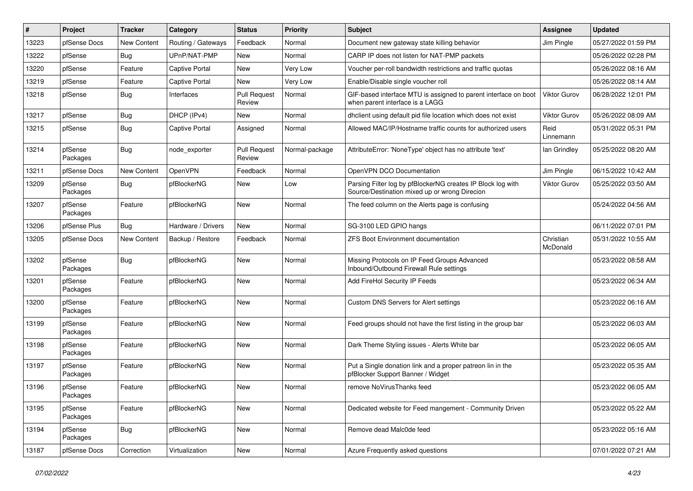| #     | Project             | <b>Tracker</b>     | Category              | <b>Status</b>                 | <b>Priority</b> | Subject                                                                                                      | <b>Assignee</b>       | <b>Updated</b>      |
|-------|---------------------|--------------------|-----------------------|-------------------------------|-----------------|--------------------------------------------------------------------------------------------------------------|-----------------------|---------------------|
| 13223 | pfSense Docs        | <b>New Content</b> | Routing / Gateways    | Feedback                      | Normal          | Document new gateway state killing behavior                                                                  | Jim Pingle            | 05/27/2022 01:59 PM |
| 13222 | pfSense             | <b>Bug</b>         | UPnP/NAT-PMP          | New                           | Normal          | CARP IP does not listen for NAT-PMP packets                                                                  |                       | 05/26/2022 02:28 PM |
| 13220 | pfSense             | Feature            | <b>Captive Portal</b> | New                           | <b>Very Low</b> | Voucher per-roll bandwidth restrictions and traffic quotas                                                   |                       | 05/26/2022 08:16 AM |
| 13219 | pfSense             | Feature            | <b>Captive Portal</b> | New                           | <b>Very Low</b> | Enable/Disable single voucher roll                                                                           |                       | 05/26/2022 08:14 AM |
| 13218 | pfSense             | <b>Bug</b>         | Interfaces            | <b>Pull Request</b><br>Review | Normal          | GIF-based interface MTU is assigned to parent interface on boot<br>when parent interface is a LAGG           | <b>Viktor Gurov</b>   | 06/28/2022 12:01 PM |
| 13217 | pfSense             | Bug                | DHCP (IPv4)           | New                           | Normal          | dholient using default pid file location which does not exist                                                | <b>Viktor Gurov</b>   | 05/26/2022 08:09 AM |
| 13215 | pfSense             | <b>Bug</b>         | <b>Captive Portal</b> | Assigned                      | Normal          | Allowed MAC/IP/Hostname traffic counts for authorized users                                                  | Reid<br>Linnemann     | 05/31/2022 05:31 PM |
| 13214 | pfSense<br>Packages | <b>Bug</b>         | node exporter         | <b>Pull Request</b><br>Review | Normal-package  | AttributeError: 'NoneType' object has no attribute 'text'                                                    | lan Grindley          | 05/25/2022 08:20 AM |
| 13211 | pfSense Docs        | New Content        | OpenVPN               | Feedback                      | Normal          | OpenVPN DCO Documentation                                                                                    | Jim Pingle            | 06/15/2022 10:42 AM |
| 13209 | pfSense<br>Packages | <b>Bug</b>         | pfBlockerNG           | New                           | Low             | Parsing Filter log by pfBlockerNG creates IP Block log with<br>Source/Destination mixed up or wrong Direcion | <b>Viktor Gurov</b>   | 05/25/2022 03:50 AM |
| 13207 | pfSense<br>Packages | Feature            | pfBlockerNG           | New                           | Normal          | The feed column on the Alerts page is confusing                                                              |                       | 05/24/2022 04:56 AM |
| 13206 | pfSense Plus        | Bug                | Hardware / Drivers    | New                           | Normal          | SG-3100 LED GPIO hangs                                                                                       |                       | 06/11/2022 07:01 PM |
| 13205 | pfSense Docs        | New Content        | Backup / Restore      | Feedback                      | Normal          | <b>ZFS Boot Environment documentation</b>                                                                    | Christian<br>McDonald | 05/31/2022 10:55 AM |
| 13202 | pfSense<br>Packages | <b>Bug</b>         | pfBlockerNG           | New                           | Normal          | Missing Protocols on IP Feed Groups Advanced<br>Inbound/Outbound Firewall Rule settings                      |                       | 05/23/2022 08:58 AM |
| 13201 | pfSense<br>Packages | Feature            | pfBlockerNG           | New                           | Normal          | Add FireHol Security IP Feeds                                                                                |                       | 05/23/2022 06:34 AM |
| 13200 | pfSense<br>Packages | Feature            | pfBlockerNG           | <b>New</b>                    | Normal          | Custom DNS Servers for Alert settings                                                                        |                       | 05/23/2022 06:16 AM |
| 13199 | pfSense<br>Packages | Feature            | pfBlockerNG           | New                           | Normal          | Feed groups should not have the first listing in the group bar                                               |                       | 05/23/2022 06:03 AM |
| 13198 | pfSense<br>Packages | Feature            | pfBlockerNG           | New                           | Normal          | Dark Theme Styling issues - Alerts White bar                                                                 |                       | 05/23/2022 06:05 AM |
| 13197 | pfSense<br>Packages | Feature            | pfBlockerNG           | <b>New</b>                    | Normal          | Put a Single donation link and a proper patreon lin in the<br>pfBlocker Support Banner / Widget              |                       | 05/23/2022 05:35 AM |
| 13196 | pfSense<br>Packages | Feature            | pfBlockerNG           | New                           | Normal          | remove NoVirusThanks feed                                                                                    |                       | 05/23/2022 06:05 AM |
| 13195 | pfSense<br>Packages | Feature            | pfBlockerNG           | New                           | Normal          | Dedicated website for Feed mangement - Community Driven                                                      |                       | 05/23/2022 05:22 AM |
| 13194 | pfSense<br>Packages | Bug                | pfBlockerNG           | New                           | Normal          | Remove dead Malc0de feed                                                                                     |                       | 05/23/2022 05:16 AM |
| 13187 | pfSense Docs        | Correction         | Virtualization        | New                           | Normal          | Azure Frequently asked questions                                                                             |                       | 07/01/2022 07:21 AM |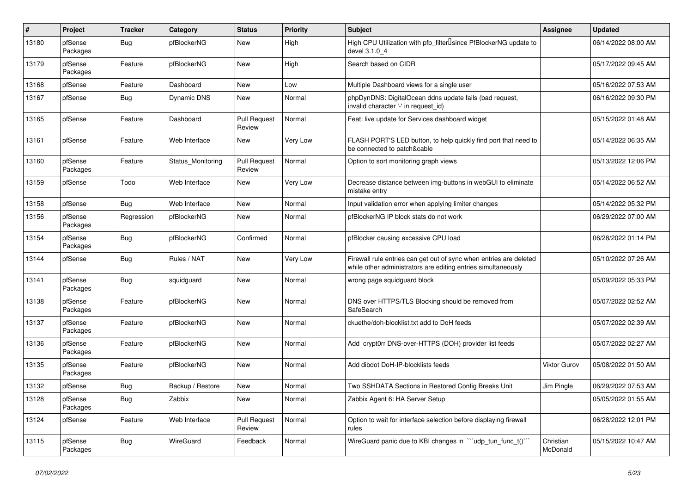| #     | Project             | <b>Tracker</b> | Category           | <b>Status</b>                 | <b>Priority</b> | <b>Subject</b>                                                                                                                      | <b>Assignee</b>       | <b>Updated</b>      |
|-------|---------------------|----------------|--------------------|-------------------------------|-----------------|-------------------------------------------------------------------------------------------------------------------------------------|-----------------------|---------------------|
| 13180 | pfSense<br>Packages | <b>Bug</b>     | pfBlockerNG        | New                           | High            | High CPU Utilization with pfb_filter <sup>[]</sup> since PfBlockerNG update to<br>devel 3.1.0 4                                     |                       | 06/14/2022 08:00 AM |
| 13179 | pfSense<br>Packages | Feature        | pfBlockerNG        | New                           | High            | Search based on CIDR                                                                                                                |                       | 05/17/2022 09:45 AM |
| 13168 | pfSense             | Feature        | Dashboard          | <b>New</b>                    | Low             | Multiple Dashboard views for a single user                                                                                          |                       | 05/16/2022 07:53 AM |
| 13167 | pfSense             | Bug            | <b>Dynamic DNS</b> | New                           | Normal          | phpDynDNS: DigitalOcean ddns update fails (bad request,<br>invalid character '-' in request_id)                                     |                       | 06/16/2022 09:30 PM |
| 13165 | pfSense             | Feature        | Dashboard          | <b>Pull Request</b><br>Review | Normal          | Feat: live update for Services dashboard widget                                                                                     |                       | 05/15/2022 01:48 AM |
| 13161 | pfSense             | Feature        | Web Interface      | <b>New</b>                    | Very Low        | FLASH PORT'S LED button, to help quickly find port that need to<br>be connected to patch&cable                                      |                       | 05/14/2022 06:35 AM |
| 13160 | pfSense<br>Packages | Feature        | Status_Monitoring  | <b>Pull Request</b><br>Review | Normal          | Option to sort monitoring graph views                                                                                               |                       | 05/13/2022 12:06 PM |
| 13159 | pfSense             | Todo           | Web Interface      | New                           | Very Low        | Decrease distance between img-buttons in webGUI to eliminate<br>mistake entry                                                       |                       | 05/14/2022 06:52 AM |
| 13158 | pfSense             | <b>Bug</b>     | Web Interface      | New                           | Normal          | Input validation error when applying limiter changes                                                                                |                       | 05/14/2022 05:32 PM |
| 13156 | pfSense<br>Packages | Regression     | pfBlockerNG        | New                           | Normal          | pfBlockerNG IP block stats do not work                                                                                              |                       | 06/29/2022 07:00 AM |
| 13154 | pfSense<br>Packages | Bug            | pfBlockerNG        | Confirmed                     | Normal          | pfBlocker causing excessive CPU load                                                                                                |                       | 06/28/2022 01:14 PM |
| 13144 | pfSense             | <b>Bug</b>     | Rules / NAT        | <b>New</b>                    | Very Low        | Firewall rule entries can get out of sync when entries are deleted<br>while other administrators are editing entries simultaneously |                       | 05/10/2022 07:26 AM |
| 13141 | pfSense<br>Packages | <b>Bug</b>     | squidguard         | New                           | Normal          | wrong page squidguard block                                                                                                         |                       | 05/09/2022 05:33 PM |
| 13138 | pfSense<br>Packages | Feature        | pfBlockerNG        | New                           | Normal          | DNS over HTTPS/TLS Blocking should be removed from<br>SafeSearch                                                                    |                       | 05/07/2022 02:52 AM |
| 13137 | pfSense<br>Packages | Feature        | pfBlockerNG        | New                           | Normal          | ckuethe/doh-blocklist.txt add to DoH feeds                                                                                          |                       | 05/07/2022 02:39 AM |
| 13136 | pfSense<br>Packages | Feature        | pfBlockerNG        | New                           | Normal          | Add crypt0rr DNS-over-HTTPS (DOH) provider list feeds                                                                               |                       | 05/07/2022 02:27 AM |
| 13135 | pfSense<br>Packages | Feature        | pfBlockerNG        | New                           | Normal          | Add dibdot DoH-IP-blocklists feeds                                                                                                  | <b>Viktor Gurov</b>   | 05/08/2022 01:50 AM |
| 13132 | pfSense             | Bug            | Backup / Restore   | New                           | Normal          | Two SSHDATA Sections in Restored Config Breaks Unit                                                                                 | Jim Pingle            | 06/29/2022 07:53 AM |
| 13128 | pfSense<br>Packages | <b>Bug</b>     | Zabbix             | New                           | Normal          | Zabbix Agent 6: HA Server Setup                                                                                                     |                       | 05/05/2022 01:55 AM |
| 13124 | pfSense             | Feature        | Web Interface      | <b>Pull Request</b><br>Review | Normal          | Option to wait for interface selection before displaying firewall<br>rules                                                          |                       | 06/28/2022 12:01 PM |
| 13115 | pfSense<br>Packages | <b>Bug</b>     | WireGuard          | Feedback                      | Normal          | WireGuard panic due to KBI changes in "'udp tun func t()'"                                                                          | Christian<br>McDonald | 05/15/2022 10:47 AM |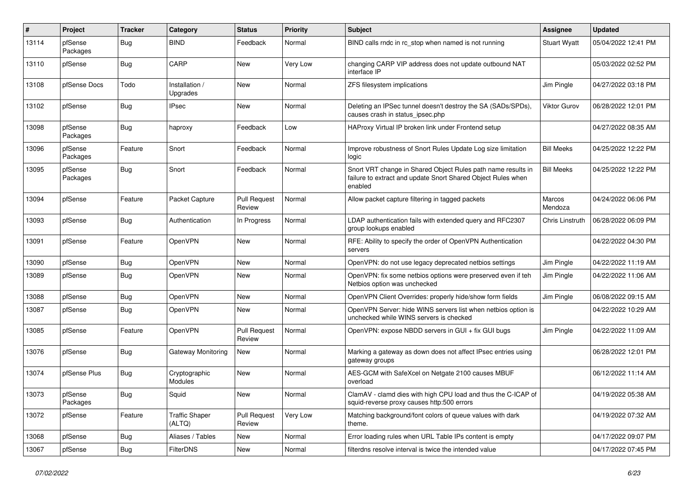| ∦     | Project             | <b>Tracker</b> | Category                        | <b>Status</b>                 | <b>Priority</b> | Subject                                                                                                                                 | Assignee            | <b>Updated</b>      |
|-------|---------------------|----------------|---------------------------------|-------------------------------|-----------------|-----------------------------------------------------------------------------------------------------------------------------------------|---------------------|---------------------|
| 13114 | pfSense<br>Packages | <b>Bug</b>     | <b>BIND</b>                     | Feedback                      | Normal          | BIND calls rndc in rc stop when named is not running                                                                                    | <b>Stuart Wyatt</b> | 05/04/2022 12:41 PM |
| 13110 | pfSense             | <b>Bug</b>     | CARP                            | New                           | Very Low        | changing CARP VIP address does not update outbound NAT<br>interface IP                                                                  |                     | 05/03/2022 02:52 PM |
| 13108 | pfSense Docs        | Todo           | Installation /<br>Upgrades      | New                           | Normal          | ZFS filesystem implications                                                                                                             | Jim Pingle          | 04/27/2022 03:18 PM |
| 13102 | pfSense             | <b>Bug</b>     | <b>IPsec</b>                    | New                           | Normal          | Deleting an IPSec tunnel doesn't destroy the SA (SADs/SPDs),<br>causes crash in status ipsec.php                                        | <b>Viktor Gurov</b> | 06/28/2022 12:01 PM |
| 13098 | pfSense<br>Packages | <b>Bug</b>     | haproxy                         | Feedback                      | Low             | HAProxy Virtual IP broken link under Frontend setup                                                                                     |                     | 04/27/2022 08:35 AM |
| 13096 | pfSense<br>Packages | Feature        | Snort                           | Feedback                      | Normal          | Improve robustness of Snort Rules Update Log size limitation<br>logic                                                                   | <b>Bill Meeks</b>   | 04/25/2022 12:22 PM |
| 13095 | pfSense<br>Packages | <b>Bug</b>     | Snort                           | Feedback                      | Normal          | Snort VRT change in Shared Object Rules path name results in<br>failure to extract and update Snort Shared Object Rules when<br>enabled | <b>Bill Meeks</b>   | 04/25/2022 12:22 PM |
| 13094 | pfSense             | Feature        | Packet Capture                  | <b>Pull Request</b><br>Review | Normal          | Allow packet capture filtering in tagged packets                                                                                        | Marcos<br>Mendoza   | 04/24/2022 06:06 PM |
| 13093 | pfSense             | <b>Bug</b>     | Authentication                  | In Progress                   | Normal          | LDAP authentication fails with extended query and RFC2307<br>group lookups enabled                                                      | Chris Linstruth     | 06/28/2022 06:09 PM |
| 13091 | pfSense             | Feature        | OpenVPN                         | <b>New</b>                    | Normal          | RFE: Ability to specify the order of OpenVPN Authentication<br>servers                                                                  |                     | 04/22/2022 04:30 PM |
| 13090 | pfSense             | <b>Bug</b>     | OpenVPN                         | <b>New</b>                    | Normal          | OpenVPN: do not use legacy deprecated netbios settings                                                                                  | Jim Pingle          | 04/22/2022 11:19 AM |
| 13089 | pfSense             | <b>Bug</b>     | OpenVPN                         | New                           | Normal          | OpenVPN: fix some netbios options were preserved even if teh<br>Netbios option was unchecked                                            | Jim Pingle          | 04/22/2022 11:06 AM |
| 13088 | pfSense             | <b>Bug</b>     | OpenVPN                         | New                           | Normal          | OpenVPN Client Overrides: properly hide/show form fields                                                                                | Jim Pingle          | 06/08/2022 09:15 AM |
| 13087 | pfSense             | <b>Bug</b>     | OpenVPN                         | New                           | Normal          | OpenVPN Server: hide WINS servers list when netbios option is<br>unchecked while WINS servers is checked                                |                     | 04/22/2022 10:29 AM |
| 13085 | pfSense             | Feature        | OpenVPN                         | <b>Pull Request</b><br>Review | Normal          | OpenVPN: expose NBDD servers in GUI + fix GUI bugs                                                                                      | Jim Pingle          | 04/22/2022 11:09 AM |
| 13076 | pfSense             | <b>Bug</b>     | Gateway Monitoring              | New                           | Normal          | Marking a gateway as down does not affect IPsec entries using<br>gateway groups                                                         |                     | 06/28/2022 12:01 PM |
| 13074 | pfSense Plus        | <b>Bug</b>     | Cryptographic<br>Modules        | New                           | Normal          | AES-GCM with SafeXcel on Netgate 2100 causes MBUF<br>overload                                                                           |                     | 06/12/2022 11:14 AM |
| 13073 | pfSense<br>Packages | Bug            | Squid                           | New                           | Normal          | ClamAV - clamd dies with high CPU load and thus the C-ICAP of<br>squid-reverse proxy causes http:500 errors                             |                     | 04/19/2022 05:38 AM |
| 13072 | pfSense             | Feature        | <b>Traffic Shaper</b><br>(ALTQ) | <b>Pull Request</b><br>Review | Very Low        | Matching background/font colors of queue values with dark<br>theme.                                                                     |                     | 04/19/2022 07:32 AM |
| 13068 | pfSense             | <b>Bug</b>     | Aliases / Tables                | New                           | Normal          | Error loading rules when URL Table IPs content is empty                                                                                 |                     | 04/17/2022 09:07 PM |
| 13067 | pfSense             | <b>Bug</b>     | <b>FilterDNS</b>                | New                           | Normal          | filterdns resolve interval is twice the intended value                                                                                  |                     | 04/17/2022 07:45 PM |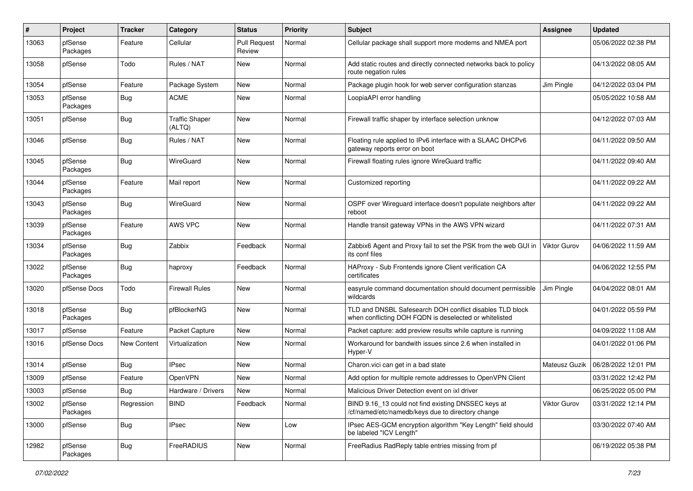| #     | Project             | <b>Tracker</b>     | Category                        | <b>Status</b>                 | <b>Priority</b> | <b>Subject</b>                                                                                                     | <b>Assignee</b>     | <b>Updated</b>      |
|-------|---------------------|--------------------|---------------------------------|-------------------------------|-----------------|--------------------------------------------------------------------------------------------------------------------|---------------------|---------------------|
| 13063 | pfSense<br>Packages | Feature            | Cellular                        | <b>Pull Request</b><br>Review | Normal          | Cellular package shall support more modems and NMEA port                                                           |                     | 05/06/2022 02:38 PM |
| 13058 | pfSense             | Todo               | Rules / NAT                     | New                           | Normal          | Add static routes and directly connected networks back to policy<br>route negation rules                           |                     | 04/13/2022 08:05 AM |
| 13054 | pfSense             | Feature            | Package System                  | <b>New</b>                    | Normal          | Package plugin hook for web server configuration stanzas                                                           | Jim Pingle          | 04/12/2022 03:04 PM |
| 13053 | pfSense<br>Packages | <b>Bug</b>         | <b>ACME</b>                     | New                           | Normal          | LoopiaAPI error handling                                                                                           |                     | 05/05/2022 10:58 AM |
| 13051 | pfSense             | Bug                | <b>Traffic Shaper</b><br>(ALTQ) | New                           | Normal          | Firewall traffic shaper by interface selection unknow                                                              |                     | 04/12/2022 07:03 AM |
| 13046 | pfSense             | <b>Bug</b>         | Rules / NAT                     | <b>New</b>                    | Normal          | Floating rule applied to IPv6 interface with a SLAAC DHCPv6<br>gateway reports error on boot                       |                     | 04/11/2022 09:50 AM |
| 13045 | pfSense<br>Packages | <b>Bug</b>         | WireGuard                       | <b>New</b>                    | Normal          | Firewall floating rules ignore WireGuard traffic                                                                   |                     | 04/11/2022 09:40 AM |
| 13044 | pfSense<br>Packages | Feature            | Mail report                     | New                           | Normal          | Customized reporting                                                                                               |                     | 04/11/2022 09:22 AM |
| 13043 | pfSense<br>Packages | Bug                | WireGuard                       | New                           | Normal          | OSPF over Wireguard interface doesn't populate neighbors after<br>reboot                                           |                     | 04/11/2022 09:22 AM |
| 13039 | pfSense<br>Packages | Feature            | <b>AWS VPC</b>                  | New                           | Normal          | Handle transit gateway VPNs in the AWS VPN wizard                                                                  |                     | 04/11/2022 07:31 AM |
| 13034 | pfSense<br>Packages | Bug                | Zabbix                          | Feedback                      | Normal          | Zabbix6 Agent and Proxy fail to set the PSK from the web GUI in<br>its conf files                                  | Viktor Gurov        | 04/06/2022 11:59 AM |
| 13022 | pfSense<br>Packages | Bug                | haproxy                         | Feedback                      | Normal          | HAProxy - Sub Frontends ignore Client verification CA<br>certificates                                              |                     | 04/06/2022 12:55 PM |
| 13020 | pfSense Docs        | Todo               | <b>Firewall Rules</b>           | New                           | Normal          | easyrule command documentation should document permissible<br>wildcards                                            | Jim Pingle          | 04/04/2022 08:01 AM |
| 13018 | pfSense<br>Packages | Bug                | pfBlockerNG                     | New                           | Normal          | TLD and DNSBL Safesearch DOH conflict disables TLD block<br>when conflicting DOH FQDN is deselected or whitelisted |                     | 04/01/2022 05:59 PM |
| 13017 | pfSense             | Feature            | Packet Capture                  | New                           | Normal          | Packet capture: add preview results while capture is running                                                       |                     | 04/09/2022 11:08 AM |
| 13016 | pfSense Docs        | <b>New Content</b> | Virtualization                  | New                           | Normal          | Workaround for bandwith issues since 2.6 when installed in<br>Hyper-V                                              |                     | 04/01/2022 01:06 PM |
| 13014 | pfSense             | Bug                | <b>IPsec</b>                    | New                           | Normal          | Charon.vici can get in a bad state                                                                                 | Mateusz Guzik       | 06/28/2022 12:01 PM |
| 13009 | pfSense             | Feature            | OpenVPN                         | <b>New</b>                    | Normal          | Add option for multiple remote addresses to OpenVPN Client                                                         |                     | 03/31/2022 12:42 PM |
| 13003 | pfSense             | Bug                | Hardware / Drivers              | New                           | Normal          | Malicious Driver Detection event on ixl driver                                                                     |                     | 06/25/2022 05:00 PM |
| 13002 | pfSense<br>Packages | Regression         | <b>BIND</b>                     | Feedback                      | Normal          | BIND 9.16_13 could not find existing DNSSEC keys at<br>/cf/named/etc/namedb/keys due to directory change           | <b>Viktor Gurov</b> | 03/31/2022 12:14 PM |
| 13000 | pfSense             | Bug                | <b>IPsec</b>                    | New                           | Low             | IPsec AES-GCM encryption algorithm "Key Length" field should<br>be labeled "ICV Length"                            |                     | 03/30/2022 07:40 AM |
| 12982 | pfSense<br>Packages | Bug                | FreeRADIUS                      | New                           | Normal          | FreeRadius RadReply table entries missing from pf                                                                  |                     | 06/19/2022 05:38 PM |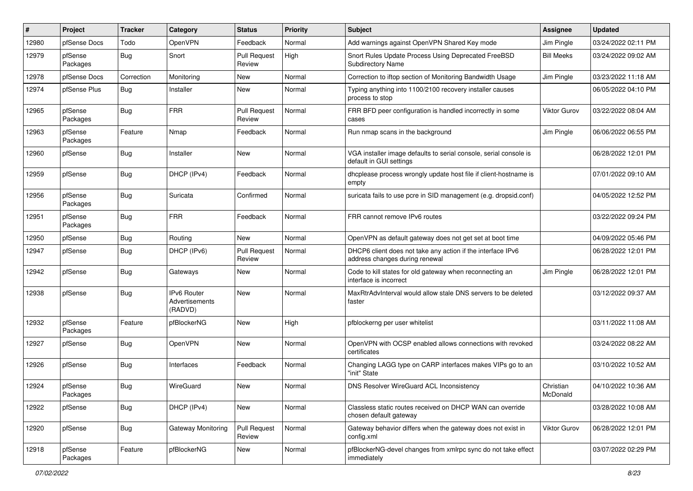| #     | Project             | <b>Tracker</b> | Category                                        | <b>Status</b>                 | <b>Priority</b> | Subject                                                                                       | <b>Assignee</b>       | <b>Updated</b>      |
|-------|---------------------|----------------|-------------------------------------------------|-------------------------------|-----------------|-----------------------------------------------------------------------------------------------|-----------------------|---------------------|
| 12980 | pfSense Docs        | Todo           | OpenVPN                                         | Feedback                      | Normal          | Add warnings against OpenVPN Shared Key mode                                                  | Jim Pingle            | 03/24/2022 02:11 PM |
| 12979 | pfSense<br>Packages | <b>Bug</b>     | Snort                                           | <b>Pull Request</b><br>Review | High            | Snort Rules Update Process Using Deprecated FreeBSD<br><b>Subdirectory Name</b>               | <b>Bill Meeks</b>     | 03/24/2022 09:02 AM |
| 12978 | pfSense Docs        | Correction     | Monitoring                                      | New                           | Normal          | Correction to iftop section of Monitoring Bandwidth Usage                                     | Jim Pingle            | 03/23/2022 11:18 AM |
| 12974 | pfSense Plus        | Bug            | Installer                                       | New                           | Normal          | Typing anything into 1100/2100 recovery installer causes<br>process to stop                   |                       | 06/05/2022 04:10 PM |
| 12965 | pfSense<br>Packages | <b>Bug</b>     | <b>FRR</b>                                      | <b>Pull Request</b><br>Review | Normal          | FRR BFD peer configuration is handled incorrectly in some<br>cases                            | <b>Viktor Gurov</b>   | 03/22/2022 08:04 AM |
| 12963 | pfSense<br>Packages | Feature        | Nmap                                            | Feedback                      | Normal          | Run nmap scans in the background                                                              | Jim Pingle            | 06/06/2022 06:55 PM |
| 12960 | pfSense             | Bug            | Installer                                       | New                           | Normal          | VGA installer image defaults to serial console, serial console is<br>default in GUI settings  |                       | 06/28/2022 12:01 PM |
| 12959 | pfSense             | <b>Bug</b>     | DHCP (IPv4)                                     | Feedback                      | Normal          | dhcplease process wrongly update host file if client-hostname is<br>empty                     |                       | 07/01/2022 09:10 AM |
| 12956 | pfSense<br>Packages | <b>Bug</b>     | Suricata                                        | Confirmed                     | Normal          | suricata fails to use pcre in SID management (e.g. dropsid.conf)                              |                       | 04/05/2022 12:52 PM |
| 12951 | pfSense<br>Packages | <b>Bug</b>     | <b>FRR</b>                                      | Feedback                      | Normal          | FRR cannot remove IPv6 routes                                                                 |                       | 03/22/2022 09:24 PM |
| 12950 | pfSense             | Bug            | Routing                                         | New                           | Normal          | OpenVPN as default gateway does not get set at boot time                                      |                       | 04/09/2022 05:46 PM |
| 12947 | pfSense             | <b>Bug</b>     | DHCP (IPv6)                                     | <b>Pull Request</b><br>Review | Normal          | DHCP6 client does not take any action if the interface IPv6<br>address changes during renewal |                       | 06/28/2022 12:01 PM |
| 12942 | pfSense             | Bug            | Gateways                                        | New                           | Normal          | Code to kill states for old gateway when reconnecting an<br>interface is incorrect            | Jim Pingle            | 06/28/2022 12:01 PM |
| 12938 | pfSense             | <b>Bug</b>     | <b>IPv6 Router</b><br>Advertisements<br>(RADVD) | New                           | Normal          | MaxRtrAdvInterval would allow stale DNS servers to be deleted<br>faster                       |                       | 03/12/2022 09:37 AM |
| 12932 | pfSense<br>Packages | Feature        | pfBlockerNG                                     | <b>New</b>                    | High            | pfblockerng per user whitelist                                                                |                       | 03/11/2022 11:08 AM |
| 12927 | pfSense             | <b>Bug</b>     | OpenVPN                                         | New                           | Normal          | OpenVPN with OCSP enabled allows connections with revoked<br>certificates                     |                       | 03/24/2022 08:22 AM |
| 12926 | pfSense             | Bug            | Interfaces                                      | Feedback                      | Normal          | Changing LAGG type on CARP interfaces makes VIPs go to an<br>"init" State                     |                       | 03/10/2022 10:52 AM |
| 12924 | pfSense<br>Packages | Bug            | WireGuard                                       | New                           | Normal          | <b>DNS Resolver WireGuard ACL Inconsistency</b>                                               | Christian<br>McDonald | 04/10/2022 10:36 AM |
| 12922 | pfSense             | <b>Bug</b>     | DHCP (IPv4)                                     | New                           | Normal          | Classless static routes received on DHCP WAN can override<br>chosen default gateway           |                       | 03/28/2022 10:08 AM |
| 12920 | pfSense             | <b>Bug</b>     | <b>Gateway Monitoring</b>                       | <b>Pull Request</b><br>Review | Normal          | Gateway behavior differs when the gateway does not exist in<br>config.xml                     | <b>Viktor Gurov</b>   | 06/28/2022 12:01 PM |
| 12918 | pfSense<br>Packages | Feature        | pfBlockerNG                                     | New                           | Normal          | pfBlockerNG-devel changes from xmlrpc sync do not take effect<br>immediately                  |                       | 03/07/2022 02:29 PM |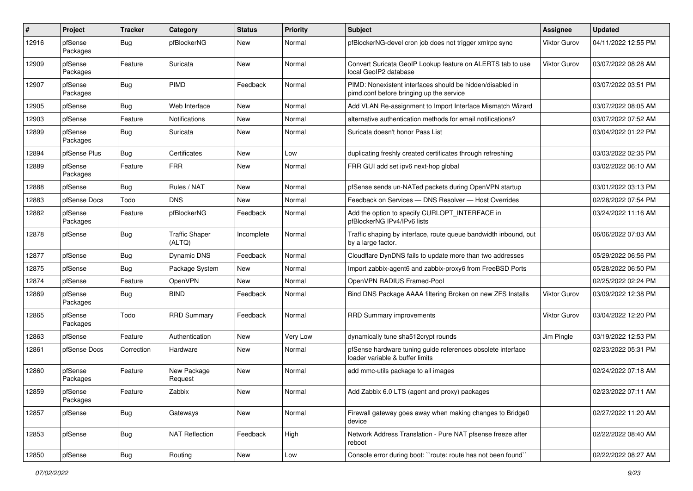| #     | Project             | <b>Tracker</b> | Category                        | <b>Status</b> | Priority | Subject                                                                                               | Assignee     | <b>Updated</b>      |
|-------|---------------------|----------------|---------------------------------|---------------|----------|-------------------------------------------------------------------------------------------------------|--------------|---------------------|
| 12916 | pfSense<br>Packages | Bug            | pfBlockerNG                     | New           | Normal   | pfBlockerNG-devel cron job does not trigger xmlrpc sync                                               | Viktor Gurov | 04/11/2022 12:55 PM |
| 12909 | pfSense<br>Packages | Feature        | Suricata                        | New           | Normal   | Convert Suricata GeoIP Lookup feature on ALERTS tab to use<br>local GeoIP2 database                   | Viktor Gurov | 03/07/2022 08:28 AM |
| 12907 | pfSense<br>Packages | Bug            | PIMD                            | Feedback      | Normal   | PIMD: Nonexistent interfaces should be hidden/disabled in<br>pimd.conf before bringing up the service |              | 03/07/2022 03:51 PM |
| 12905 | pfSense             | <b>Bug</b>     | Web Interface                   | New           | Normal   | Add VLAN Re-assignment to Import Interface Mismatch Wizard                                            |              | 03/07/2022 08:05 AM |
| 12903 | pfSense             | Feature        | Notifications                   | New           | Normal   | alternative authentication methods for email notifications?                                           |              | 03/07/2022 07:52 AM |
| 12899 | pfSense<br>Packages | Bug            | Suricata                        | New           | Normal   | Suricata doesn't honor Pass List                                                                      |              | 03/04/2022 01:22 PM |
| 12894 | pfSense Plus        | Bug            | Certificates                    | New           | Low      | duplicating freshly created certificates through refreshing                                           |              | 03/03/2022 02:35 PM |
| 12889 | pfSense<br>Packages | Feature        | <b>FRR</b>                      | New           | Normal   | FRR GUI add set ipv6 next-hop global                                                                  |              | 03/02/2022 06:10 AM |
| 12888 | pfSense             | Bug            | Rules / NAT                     | New           | Normal   | pfSense sends un-NATed packets during OpenVPN startup                                                 |              | 03/01/2022 03:13 PM |
| 12883 | pfSense Docs        | Todo           | <b>DNS</b>                      | New           | Normal   | Feedback on Services - DNS Resolver - Host Overrides                                                  |              | 02/28/2022 07:54 PM |
| 12882 | pfSense<br>Packages | Feature        | pfBlockerNG                     | Feedback      | Normal   | Add the option to specify CURLOPT_INTERFACE in<br>pfBlockerNG IPv4/IPv6 lists                         |              | 03/24/2022 11:16 AM |
| 12878 | pfSense             | Bug            | <b>Traffic Shaper</b><br>(ALTQ) | Incomplete    | Normal   | Traffic shaping by interface, route queue bandwidth inbound, out<br>by a large factor.                |              | 06/06/2022 07:03 AM |
| 12877 | pfSense             | <b>Bug</b>     | Dynamic DNS                     | Feedback      | Normal   | Cloudflare DynDNS fails to update more than two addresses                                             |              | 05/29/2022 06:56 PM |
| 12875 | pfSense             | <b>Bug</b>     | Package System                  | New           | Normal   | Import zabbix-agent6 and zabbix-proxy6 from FreeBSD Ports                                             |              | 05/28/2022 06:50 PM |
| 12874 | pfSense             | Feature        | OpenVPN                         | New           | Normal   | OpenVPN RADIUS Framed-Pool                                                                            |              | 02/25/2022 02:24 PM |
| 12869 | pfSense<br>Packages | <b>Bug</b>     | <b>BIND</b>                     | Feedback      | Normal   | Bind DNS Package AAAA filtering Broken on new ZFS Installs                                            | Viktor Gurov | 03/09/2022 12:38 PM |
| 12865 | pfSense<br>Packages | Todo           | <b>RRD Summary</b>              | Feedback      | Normal   | RRD Summary improvements                                                                              | Viktor Gurov | 03/04/2022 12:20 PM |
| 12863 | pfSense             | Feature        | Authentication                  | New           | Very Low | dynamically tune sha512crypt rounds                                                                   | Jim Pingle   | 03/19/2022 12:53 PM |
| 12861 | pfSense Docs        | Correction     | Hardware                        | New           | Normal   | pfSense hardware tuning guide references obsolete interface<br>loader variable & buffer limits        |              | 02/23/2022 05:31 PM |
| 12860 | pfSense<br>Packages | Feature        | New Package<br>Request          | New           | Normal   | add mmc-utils package to all images                                                                   |              | 02/24/2022 07:18 AM |
| 12859 | pfSense<br>Packages | Feature        | Zabbix                          | New           | Normal   | Add Zabbix 6.0 LTS (agent and proxy) packages                                                         |              | 02/23/2022 07:11 AM |
| 12857 | pfSense             | <b>Bug</b>     | Gateways                        | New           | Normal   | Firewall gateway goes away when making changes to Bridge0<br>device                                   |              | 02/27/2022 11:20 AM |
| 12853 | pfSense             | Bug            | <b>NAT Reflection</b>           | Feedback      | High     | Network Address Translation - Pure NAT pfsense freeze after<br>reboot                                 |              | 02/22/2022 08:40 AM |
| 12850 | pfSense             | <b>Bug</b>     | Routing                         | New           | Low      | Console error during boot: "route: route has not been found"                                          |              | 02/22/2022 08:27 AM |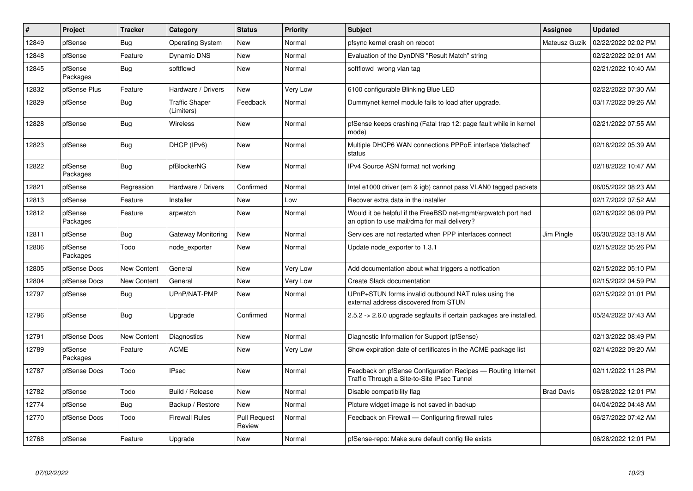| ∦     | Project             | <b>Tracker</b>     | Category                            | <b>Status</b>                 | Priority | <b>Subject</b>                                                                                                | Assignee          | <b>Updated</b>      |
|-------|---------------------|--------------------|-------------------------------------|-------------------------------|----------|---------------------------------------------------------------------------------------------------------------|-------------------|---------------------|
| 12849 | pfSense             | <b>Bug</b>         | <b>Operating System</b>             | New                           | Normal   | pfsync kernel crash on reboot                                                                                 | Mateusz Guzik     | 02/22/2022 02:02 PM |
| 12848 | pfSense             | Feature            | Dynamic DNS                         | New                           | Normal   | Evaluation of the DynDNS "Result Match" string                                                                |                   | 02/22/2022 02:01 AM |
| 12845 | pfSense<br>Packages | Bug                | softflowd                           | New                           | Normal   | softflowd wrong vlan tag                                                                                      |                   | 02/21/2022 10:40 AM |
| 12832 | pfSense Plus        | Feature            | Hardware / Drivers                  | New                           | Very Low | 6100 configurable Blinking Blue LED                                                                           |                   | 02/22/2022 07:30 AM |
| 12829 | pfSense             | <b>Bug</b>         | <b>Traffic Shaper</b><br>(Limiters) | Feedback                      | Normal   | Dummynet kernel module fails to load after upgrade.                                                           |                   | 03/17/2022 09:26 AM |
| 12828 | pfSense             | <b>Bug</b>         | Wireless                            | New                           | Normal   | pfSense keeps crashing (Fatal trap 12: page fault while in kernel<br>mode)                                    |                   | 02/21/2022 07:55 AM |
| 12823 | pfSense             | <b>Bug</b>         | DHCP (IPv6)                         | New                           | Normal   | Multiple DHCP6 WAN connections PPPoE interface 'defached'<br>status                                           |                   | 02/18/2022 05:39 AM |
| 12822 | pfSense<br>Packages | <b>Bug</b>         | pfBlockerNG                         | New                           | Normal   | IPv4 Source ASN format not working                                                                            |                   | 02/18/2022 10:47 AM |
| 12821 | pfSense             | Regression         | Hardware / Drivers                  | Confirmed                     | Normal   | Intel e1000 driver (em & igb) cannot pass VLAN0 tagged packets                                                |                   | 06/05/2022 08:23 AM |
| 12813 | pfSense             | Feature            | Installer                           | New                           | Low      | Recover extra data in the installer                                                                           |                   | 02/17/2022 07:52 AM |
| 12812 | pfSense<br>Packages | Feature            | arpwatch                            | New                           | Normal   | Would it be helpful if the FreeBSD net-mgmt/arpwatch port had<br>an option to use mail/dma for mail delivery? |                   | 02/16/2022 06:09 PM |
| 12811 | pfSense             | Bug                | Gateway Monitoring                  | New                           | Normal   | Services are not restarted when PPP interfaces connect                                                        | Jim Pingle        | 06/30/2022 03:18 AM |
| 12806 | pfSense<br>Packages | Todo               | node exporter                       | New                           | Normal   | Update node exporter to 1.3.1                                                                                 |                   | 02/15/2022 05:26 PM |
| 12805 | pfSense Docs        | <b>New Content</b> | General                             | <b>New</b>                    | Very Low | Add documentation about what triggers a notfication                                                           |                   | 02/15/2022 05:10 PM |
| 12804 | pfSense Docs        | <b>New Content</b> | General                             | New                           | Very Low | Create Slack documentation                                                                                    |                   | 02/15/2022 04:59 PM |
| 12797 | pfSense             | Bug                | UPnP/NAT-PMP                        | New                           | Normal   | UPnP+STUN forms invalid outbound NAT rules using the<br>external address discovered from STUN                 |                   | 02/15/2022 01:01 PM |
| 12796 | pfSense             | <b>Bug</b>         | Upgrade                             | Confirmed                     | Normal   | 2.5.2 -> 2.6.0 upgrade segfaults if certain packages are installed.                                           |                   | 05/24/2022 07:43 AM |
| 12791 | pfSense Docs        | New Content        | Diagnostics                         | <b>New</b>                    | Normal   | Diagnostic Information for Support (pfSense)                                                                  |                   | 02/13/2022 08:49 PM |
| 12789 | pfSense<br>Packages | Feature            | <b>ACME</b>                         | New                           | Very Low | Show expiration date of certificates in the ACME package list                                                 |                   | 02/14/2022 09:20 AM |
| 12787 | pfSense Docs        | Todo               | <b>IPsec</b>                        | New                           | Normal   | Feedback on pfSense Configuration Recipes - Routing Internet<br>Traffic Through a Site-to-Site IPsec Tunnel   |                   | 02/11/2022 11:28 PM |
| 12782 | pfSense             | Todo               | Build / Release                     | New                           | Normal   | Disable compatibility flag                                                                                    | <b>Brad Davis</b> | 06/28/2022 12:01 PM |
| 12774 | pfSense             | <b>Bug</b>         | Backup / Restore                    | New                           | Normal   | Picture widget image is not saved in backup                                                                   |                   | 04/04/2022 04:48 AM |
| 12770 | pfSense Docs        | Todo               | <b>Firewall Rules</b>               | <b>Pull Request</b><br>Review | Normal   | Feedback on Firewall — Configuring firewall rules                                                             |                   | 06/27/2022 07:42 AM |
| 12768 | pfSense             | Feature            | Upgrade                             | <b>New</b>                    | Normal   | pfSense-repo: Make sure default config file exists                                                            |                   | 06/28/2022 12:01 PM |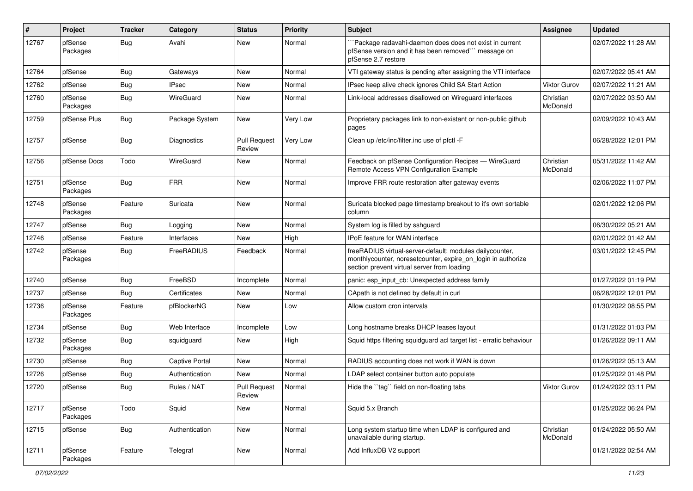| $\#$  | Project             | <b>Tracker</b> | Category              | <b>Status</b>                 | <b>Priority</b> | <b>Subject</b>                                                                                                                                                          | <b>Assignee</b>       | <b>Updated</b>      |
|-------|---------------------|----------------|-----------------------|-------------------------------|-----------------|-------------------------------------------------------------------------------------------------------------------------------------------------------------------------|-----------------------|---------------------|
| 12767 | pfSense<br>Packages | <b>Bug</b>     | Avahi                 | New                           | Normal          | Package radavahi-daemon does does not exist in current<br>pfSense version and it has been removed"" message on<br>pfSense 2.7 restore                                   |                       | 02/07/2022 11:28 AM |
| 12764 | pfSense             | <b>Bug</b>     | Gateways              | New                           | Normal          | VTI gateway status is pending after assigning the VTI interface                                                                                                         |                       | 02/07/2022 05:41 AM |
| 12762 | pfSense             | <b>Bug</b>     | <b>IPsec</b>          | New                           | Normal          | IPsec keep alive check ignores Child SA Start Action                                                                                                                    | <b>Viktor Gurov</b>   | 02/07/2022 11:21 AM |
| 12760 | pfSense<br>Packages | <b>Bug</b>     | WireGuard             | New                           | Normal          | Link-local addresses disallowed on Wireguard interfaces                                                                                                                 | Christian<br>McDonald | 02/07/2022 03:50 AM |
| 12759 | pfSense Plus        | Bug            | Package System        | <b>New</b>                    | Very Low        | Proprietary packages link to non-existant or non-public github<br>pages                                                                                                 |                       | 02/09/2022 10:43 AM |
| 12757 | pfSense             | Bug            | Diagnostics           | <b>Pull Request</b><br>Review | Very Low        | Clean up /etc/inc/filter.inc use of pfctl -F                                                                                                                            |                       | 06/28/2022 12:01 PM |
| 12756 | pfSense Docs        | Todo           | WireGuard             | <b>New</b>                    | Normal          | Feedback on pfSense Configuration Recipes - WireGuard<br>Remote Access VPN Configuration Example                                                                        | Christian<br>McDonald | 05/31/2022 11:42 AM |
| 12751 | pfSense<br>Packages | <b>Bug</b>     | <b>FRR</b>            | New                           | Normal          | Improve FRR route restoration after gateway events                                                                                                                      |                       | 02/06/2022 11:07 PM |
| 12748 | pfSense<br>Packages | Feature        | Suricata              | New                           | Normal          | Suricata blocked page timestamp breakout to it's own sortable<br>column                                                                                                 |                       | 02/01/2022 12:06 PM |
| 12747 | pfSense             | Bug            | Logging               | New                           | Normal          | System log is filled by sshguard                                                                                                                                        |                       | 06/30/2022 05:21 AM |
| 12746 | pfSense             | Feature        | Interfaces            | New                           | High            | <b>IPoE</b> feature for WAN interface                                                                                                                                   |                       | 02/01/2022 01:42 AM |
| 12742 | pfSense<br>Packages | Bug            | FreeRADIUS            | Feedback                      | Normal          | freeRADIUS virtual-server-default: modules dailycounter,<br>monthlycounter, noresetcounter, expire_on_login in authorize<br>section prevent virtual server from loading |                       | 03/01/2022 12:45 PM |
| 12740 | pfSense             | <b>Bug</b>     | FreeBSD               | Incomplete                    | Normal          | panic: esp input cb: Unexpected address family                                                                                                                          |                       | 01/27/2022 01:19 PM |
| 12737 | pfSense             | <b>Bug</b>     | Certificates          | New                           | Normal          | CApath is not defined by default in curl                                                                                                                                |                       | 06/28/2022 12:01 PM |
| 12736 | pfSense<br>Packages | Feature        | pfBlockerNG           | New                           | Low             | Allow custom cron intervals                                                                                                                                             |                       | 01/30/2022 08:55 PM |
| 12734 | pfSense             | <b>Bug</b>     | Web Interface         | Incomplete                    | Low             | Long hostname breaks DHCP leases layout                                                                                                                                 |                       | 01/31/2022 01:03 PM |
| 12732 | pfSense<br>Packages | <b>Bug</b>     | squidguard            | New                           | High            | Squid https filtering squidguard acl target list - erratic behaviour                                                                                                    |                       | 01/26/2022 09:11 AM |
| 12730 | pfSense             | Bug            | <b>Captive Portal</b> | <b>New</b>                    | Normal          | RADIUS accounting does not work if WAN is down                                                                                                                          |                       | 01/26/2022 05:13 AM |
| 12726 | pfSense             | <b>Bug</b>     | Authentication        | New                           | Normal          | LDAP select container button auto populate                                                                                                                              |                       | 01/25/2022 01:48 PM |
| 12720 | pfSense             | <b>Bug</b>     | Rules / NAT           | <b>Pull Request</b><br>Review | Normal          | Hide the "tag" field on non-floating tabs                                                                                                                               | <b>Viktor Gurov</b>   | 01/24/2022 03:11 PM |
| 12717 | pfSense<br>Packages | Todo           | Squid                 | New                           | Normal          | Squid 5.x Branch                                                                                                                                                        |                       | 01/25/2022 06:24 PM |
| 12715 | pfSense             | <b>Bug</b>     | Authentication        | New                           | Normal          | Long system startup time when LDAP is configured and<br>unavailable during startup.                                                                                     | Christian<br>McDonald | 01/24/2022 05:50 AM |
| 12711 | pfSense<br>Packages | Feature        | Telegraf              | New                           | Normal          | Add InfluxDB V2 support                                                                                                                                                 |                       | 01/21/2022 02:54 AM |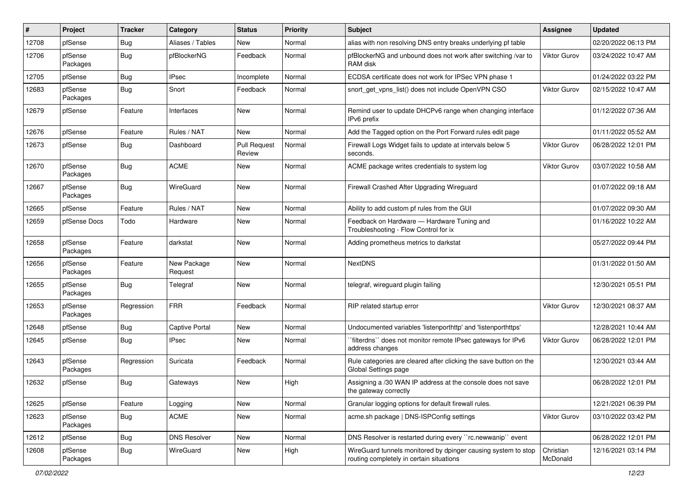| #     | Project             | <b>Tracker</b> | Category               | <b>Status</b>                 | <b>Priority</b> | Subject                                                                                                   | <b>Assignee</b>       | <b>Updated</b>      |
|-------|---------------------|----------------|------------------------|-------------------------------|-----------------|-----------------------------------------------------------------------------------------------------------|-----------------------|---------------------|
| 12708 | pfSense             | <b>Bug</b>     | Aliases / Tables       | New                           | Normal          | alias with non resolving DNS entry breaks underlying pf table                                             |                       | 02/20/2022 06:13 PM |
| 12706 | pfSense<br>Packages | Bug            | pfBlockerNG            | Feedback                      | Normal          | pfBlockerNG and unbound does not work after switching /var to<br>RAM disk                                 | Viktor Gurov          | 03/24/2022 10:47 AM |
| 12705 | pfSense             | <b>Bug</b>     | <b>IPsec</b>           | Incomplete                    | Normal          | ECDSA certificate does not work for IPSec VPN phase 1                                                     |                       | 01/24/2022 03:22 PM |
| 12683 | pfSense<br>Packages | Bug            | Snort                  | Feedback                      | Normal          | snort_get_vpns_list() does not include OpenVPN CSO                                                        | <b>Viktor Gurov</b>   | 02/15/2022 10:47 AM |
| 12679 | pfSense             | Feature        | Interfaces             | New                           | Normal          | Remind user to update DHCPv6 range when changing interface<br>IPv6 prefix                                 |                       | 01/12/2022 07:36 AM |
| 12676 | pfSense             | Feature        | Rules / NAT            | New                           | Normal          | Add the Tagged option on the Port Forward rules edit page                                                 |                       | 01/11/2022 05:52 AM |
| 12673 | pfSense             | <b>Bug</b>     | Dashboard              | <b>Pull Request</b><br>Review | Normal          | Firewall Logs Widget fails to update at intervals below 5<br>seconds.                                     | Viktor Gurov          | 06/28/2022 12:01 PM |
| 12670 | pfSense<br>Packages | Bug            | <b>ACME</b>            | New                           | Normal          | ACME package writes credentials to system log                                                             | Viktor Gurov          | 03/07/2022 10:58 AM |
| 12667 | pfSense<br>Packages | Bug            | WireGuard              | New                           | Normal          | Firewall Crashed After Upgrading Wireguard                                                                |                       | 01/07/2022 09:18 AM |
| 12665 | pfSense             | Feature        | Rules / NAT            | New                           | Normal          | Ability to add custom pf rules from the GUI                                                               |                       | 01/07/2022 09:30 AM |
| 12659 | pfSense Docs        | Todo           | Hardware               | New                           | Normal          | Feedback on Hardware - Hardware Tuning and<br>Troubleshooting - Flow Control for ix                       |                       | 01/16/2022 10:22 AM |
| 12658 | pfSense<br>Packages | Feature        | darkstat               | <b>New</b>                    | Normal          | Adding prometheus metrics to darkstat                                                                     |                       | 05/27/2022 09:44 PM |
| 12656 | pfSense<br>Packages | Feature        | New Package<br>Request | New                           | Normal          | <b>NextDNS</b>                                                                                            |                       | 01/31/2022 01:50 AM |
| 12655 | pfSense<br>Packages | Bug            | Telegraf               | New                           | Normal          | telegraf, wireguard plugin failing                                                                        |                       | 12/30/2021 05:51 PM |
| 12653 | pfSense<br>Packages | Regression     | <b>FRR</b>             | Feedback                      | Normal          | RIP related startup error                                                                                 | <b>Viktor Gurov</b>   | 12/30/2021 08:37 AM |
| 12648 | pfSense             | <b>Bug</b>     | <b>Captive Portal</b>  | <b>New</b>                    | Normal          | Undocumented variables 'listenporthttp' and 'listenporthttps'                                             |                       | 12/28/2021 10:44 AM |
| 12645 | pfSense             | <b>Bug</b>     | <b>IPsec</b>           | New                           | Normal          | `filterdns`` does not monitor remote IPsec gateways for IPv6<br>address changes                           | Viktor Gurov          | 06/28/2022 12:01 PM |
| 12643 | pfSense<br>Packages | Regression     | Suricata               | Feedback                      | Normal          | Rule categories are cleared after clicking the save button on the<br>Global Settings page                 |                       | 12/30/2021 03:44 AM |
| 12632 | pfSense             | Bug            | Gateways               | New                           | High            | Assigning a /30 WAN IP address at the console does not save<br>the gateway correctly                      |                       | 06/28/2022 12:01 PM |
| 12625 | pfSense             | Feature        | Logging                | New                           | Normal          | Granular logging options for default firewall rules.                                                      |                       | 12/21/2021 06:39 PM |
| 12623 | pfSense<br>Packages | <b>Bug</b>     | <b>ACME</b>            | New                           | Normal          | acme.sh package   DNS-ISPConfig settings                                                                  | <b>Viktor Gurov</b>   | 03/10/2022 03:42 PM |
| 12612 | pfSense             | <b>Bug</b>     | <b>DNS Resolver</b>    | New                           | Normal          | DNS Resolver is restarted during every "rc.newwanip" event                                                |                       | 06/28/2022 12:01 PM |
| 12608 | pfSense<br>Packages | <b>Bug</b>     | WireGuard              | New                           | High            | WireGuard tunnels monitored by dpinger causing system to stop<br>routing completely in certain situations | Christian<br>McDonald | 12/16/2021 03:14 PM |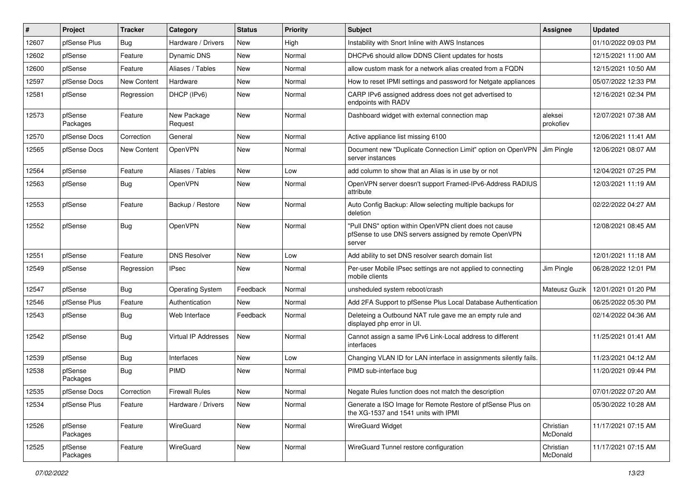| ∦     | Project             | <b>Tracker</b>     | Category                | <b>Status</b> | <b>Priority</b> | Subject                                                                                                                   | <b>Assignee</b>       | <b>Updated</b>      |
|-------|---------------------|--------------------|-------------------------|---------------|-----------------|---------------------------------------------------------------------------------------------------------------------------|-----------------------|---------------------|
| 12607 | pfSense Plus        | <b>Bug</b>         | Hardware / Drivers      | New           | High            | Instability with Snort Inline with AWS Instances                                                                          |                       | 01/10/2022 09:03 PM |
| 12602 | pfSense             | Feature            | <b>Dynamic DNS</b>      | New           | Normal          | DHCPv6 should allow DDNS Client updates for hosts                                                                         |                       | 12/15/2021 11:00 AM |
| 12600 | pfSense             | Feature            | Aliases / Tables        | New           | Normal          | allow custom mask for a network alias created from a FQDN                                                                 |                       | 12/15/2021 10:50 AM |
| 12597 | pfSense Docs        | New Content        | Hardware                | New           | Normal          | How to reset IPMI settings and password for Netgate appliances                                                            |                       | 05/07/2022 12:33 PM |
| 12581 | pfSense             | Regression         | DHCP (IPv6)             | New           | Normal          | CARP IPv6 assigned address does not get advertised to<br>endpoints with RADV                                              |                       | 12/16/2021 02:34 PM |
| 12573 | pfSense<br>Packages | Feature            | New Package<br>Request  | New           | Normal          | Dashboard widget with external connection map                                                                             | aleksei<br>prokofiev  | 12/07/2021 07:38 AM |
| 12570 | pfSense Docs        | Correction         | General                 | New           | Normal          | Active appliance list missing 6100                                                                                        |                       | 12/06/2021 11:41 AM |
| 12565 | pfSense Docs        | <b>New Content</b> | OpenVPN                 | New           | Normal          | Document new "Duplicate Connection Limit" option on OpenVPN<br>server instances                                           | Jim Pingle            | 12/06/2021 08:07 AM |
| 12564 | pfSense             | Feature            | Aliases / Tables        | New           | Low             | add column to show that an Alias is in use by or not                                                                      |                       | 12/04/2021 07:25 PM |
| 12563 | pfSense             | <b>Bug</b>         | <b>OpenVPN</b>          | New           | Normal          | OpenVPN server doesn't support Framed-IPv6-Address RADIUS<br>attribute                                                    |                       | 12/03/2021 11:19 AM |
| 12553 | pfSense             | Feature            | Backup / Restore        | New           | Normal          | Auto Config Backup: Allow selecting multiple backups for<br>deletion                                                      |                       | 02/22/2022 04:27 AM |
| 12552 | pfSense             | Bug                | OpenVPN                 | New           | Normal          | "Pull DNS" option within OpenVPN client does not cause<br>pfSense to use DNS servers assigned by remote OpenVPN<br>server |                       | 12/08/2021 08:45 AM |
| 12551 | pfSense             | Feature            | <b>DNS Resolver</b>     | New           | Low             | Add ability to set DNS resolver search domain list                                                                        |                       | 12/01/2021 11:18 AM |
| 12549 | pfSense             | Regression         | <b>IPsec</b>            | New           | Normal          | Per-user Mobile IPsec settings are not applied to connecting<br>mobile clients                                            | Jim Pingle            | 06/28/2022 12:01 PM |
| 12547 | pfSense             | Bug                | <b>Operating System</b> | Feedback      | Normal          | unsheduled system reboot/crash                                                                                            | Mateusz Guzik         | 12/01/2021 01:20 PM |
| 12546 | pfSense Plus        | Feature            | Authentication          | New           | Normal          | Add 2FA Support to pfSense Plus Local Database Authentication                                                             |                       | 06/25/2022 05:30 PM |
| 12543 | pfSense             | <b>Bug</b>         | Web Interface           | Feedback      | Normal          | Deleteing a Outbound NAT rule gave me an empty rule and<br>displayed php error in UI.                                     |                       | 02/14/2022 04:36 AM |
| 12542 | pfSense             | Bug                | Virtual IP Addresses    | New           | Normal          | Cannot assign a same IPv6 Link-Local address to different<br>interfaces                                                   |                       | 11/25/2021 01:41 AM |
| 12539 | pfSense             | Bug                | Interfaces              | New           | Low             | Changing VLAN ID for LAN interface in assignments silently fails.                                                         |                       | 11/23/2021 04:12 AM |
| 12538 | pfSense<br>Packages | <b>Bug</b>         | <b>PIMD</b>             | <b>New</b>    | Normal          | PIMD sub-interface bug                                                                                                    |                       | 11/20/2021 09:44 PM |
| 12535 | pfSense Docs        | Correction         | <b>Firewall Rules</b>   | New           | Normal          | Negate Rules function does not match the description                                                                      |                       | 07/01/2022 07:20 AM |
| 12534 | pfSense Plus        | Feature            | Hardware / Drivers      | New           | Normal          | Generate a ISO Image for Remote Restore of pfSense Plus on<br>the XG-1537 and 1541 units with IPMI                        |                       | 05/30/2022 10:28 AM |
| 12526 | pfSense<br>Packages | Feature            | WireGuard               | New           | Normal          | <b>WireGuard Widget</b>                                                                                                   | Christian<br>McDonald | 11/17/2021 07:15 AM |
| 12525 | pfSense<br>Packages | Feature            | WireGuard               | New           | Normal          | WireGuard Tunnel restore configuration                                                                                    | Christian<br>McDonald | 11/17/2021 07:15 AM |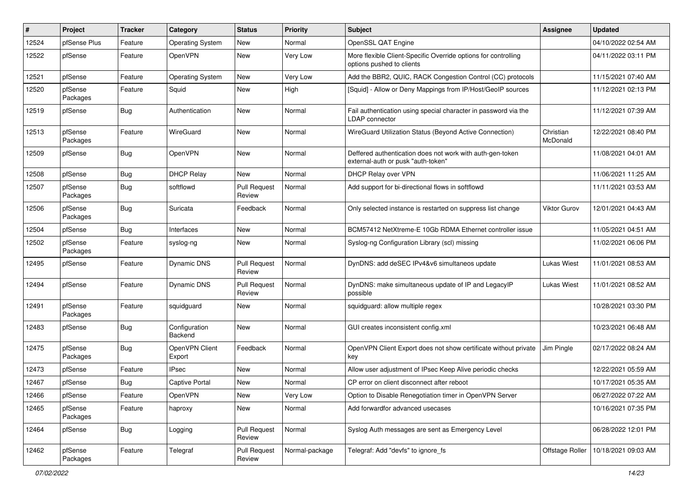| #     | Project             | <b>Tracker</b> | Category                        | <b>Status</b>                 | <b>Priority</b> | Subject                                                                                         | <b>Assignee</b>       | <b>Updated</b>      |
|-------|---------------------|----------------|---------------------------------|-------------------------------|-----------------|-------------------------------------------------------------------------------------------------|-----------------------|---------------------|
| 12524 | pfSense Plus        | Feature        | <b>Operating System</b>         | New                           | Normal          | OpenSSL QAT Engine                                                                              |                       | 04/10/2022 02:54 AM |
| 12522 | pfSense             | Feature        | OpenVPN                         | <b>New</b>                    | Very Low        | More flexible Client-Specific Override options for controlling<br>options pushed to clients     |                       | 04/11/2022 03:11 PM |
| 12521 | pfSense             | Feature        | <b>Operating System</b>         | New                           | Very Low        | Add the BBR2, QUIC, RACK Congestion Control (CC) protocols                                      |                       | 11/15/2021 07:40 AM |
| 12520 | pfSense<br>Packages | Feature        | Squid                           | <b>New</b>                    | High            | [Squid] - Allow or Deny Mappings from IP/Host/GeoIP sources                                     |                       | 11/12/2021 02:13 PM |
| 12519 | pfSense             | <b>Bug</b>     | Authentication                  | New                           | Normal          | Fail authentication using special character in password via the<br><b>LDAP</b> connector        |                       | 11/12/2021 07:39 AM |
| 12513 | pfSense<br>Packages | Feature        | WireGuard                       | New                           | Normal          | WireGuard Utilization Status (Beyond Active Connection)                                         | Christian<br>McDonald | 12/22/2021 08:40 PM |
| 12509 | pfSense             | Bug            | OpenVPN                         | New                           | Normal          | Deffered authentication does not work with auth-gen-token<br>external-auth or pusk "auth-token" |                       | 11/08/2021 04:01 AM |
| 12508 | pfSense             | <b>Bug</b>     | <b>DHCP Relay</b>               | New                           | Normal          | DHCP Relay over VPN                                                                             |                       | 11/06/2021 11:25 AM |
| 12507 | pfSense<br>Packages | <b>Bug</b>     | softflowd                       | <b>Pull Request</b><br>Review | Normal          | Add support for bi-directional flows in softflowd                                               |                       | 11/11/2021 03:53 AM |
| 12506 | pfSense<br>Packages | Bug            | Suricata                        | Feedback                      | Normal          | Only selected instance is restarted on suppress list change                                     | <b>Viktor Gurov</b>   | 12/01/2021 04:43 AM |
| 12504 | pfSense             | Bug            | Interfaces                      | New                           | Normal          | BCM57412 NetXtreme-E 10Gb RDMA Ethernet controller issue                                        |                       | 11/05/2021 04:51 AM |
| 12502 | pfSense<br>Packages | Feature        | syslog-ng                       | New                           | Normal          | Syslog-ng Configuration Library (scl) missing                                                   |                       | 11/02/2021 06:06 PM |
| 12495 | pfSense             | Feature        | Dynamic DNS                     | <b>Pull Request</b><br>Review | Normal          | DynDNS: add deSEC IPv4&v6 simultaneos update                                                    | <b>Lukas Wiest</b>    | 11/01/2021 08:53 AM |
| 12494 | pfSense             | Feature        | Dynamic DNS                     | <b>Pull Request</b><br>Review | Normal          | DynDNS: make simultaneous update of IP and LegacyIP<br>possible                                 | Lukas Wiest           | 11/01/2021 08:52 AM |
| 12491 | pfSense<br>Packages | Feature        | squidguard                      | New                           | Normal          | squidguard: allow multiple regex                                                                |                       | 10/28/2021 03:30 PM |
| 12483 | pfSense             | Bug            | Configuration<br><b>Backend</b> | <b>New</b>                    | Normal          | GUI creates inconsistent config.xml                                                             |                       | 10/23/2021 06:48 AM |
| 12475 | pfSense<br>Packages | <b>Bug</b>     | OpenVPN Client<br>Export        | Feedback                      | Normal          | OpenVPN Client Export does not show certificate without private<br>key                          | Jim Pingle            | 02/17/2022 08:24 AM |
| 12473 | pfSense             | Feature        | <b>IPsec</b>                    | New                           | Normal          | Allow user adjustment of IPsec Keep Alive periodic checks                                       |                       | 12/22/2021 05:59 AM |
| 12467 | pfSense             | <b>Bug</b>     | <b>Captive Portal</b>           | New                           | Normal          | CP error on client disconnect after reboot                                                      |                       | 10/17/2021 05:35 AM |
| 12466 | pfSense             | Feature        | OpenVPN                         | New                           | Very Low        | Option to Disable Renegotiation timer in OpenVPN Server                                         |                       | 06/27/2022 07:22 AM |
| 12465 | pfSense<br>Packages | Feature        | haproxy                         | New                           | Normal          | Add forwardfor advanced usecases                                                                |                       | 10/16/2021 07:35 PM |
| 12464 | pfSense             | Bug            | Logging                         | <b>Pull Request</b><br>Review | Normal          | Syslog Auth messages are sent as Emergency Level                                                |                       | 06/28/2022 12:01 PM |
| 12462 | pfSense<br>Packages | Feature        | Telegraf                        | <b>Pull Request</b><br>Review | Normal-package  | Telegraf: Add "devfs" to ignore fs                                                              | Offstage Roller       | 10/18/2021 09:03 AM |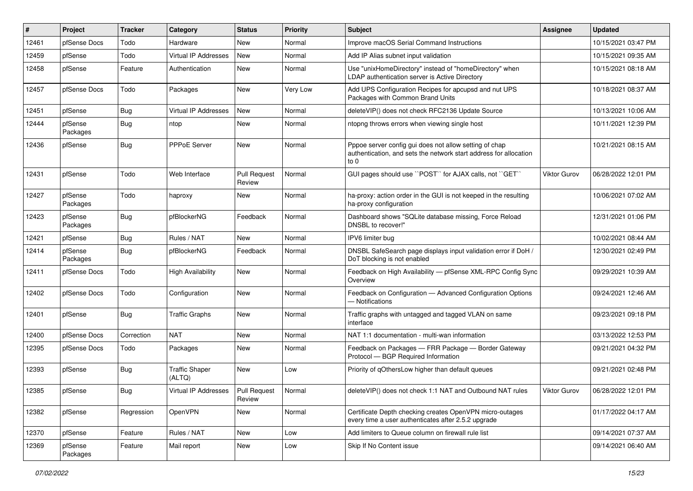| #     | Project             | <b>Tracker</b> | Category                        | <b>Status</b>                 | Priority | <b>Subject</b>                                                                                                                      | Assignee     | <b>Updated</b>      |
|-------|---------------------|----------------|---------------------------------|-------------------------------|----------|-------------------------------------------------------------------------------------------------------------------------------------|--------------|---------------------|
| 12461 | pfSense Docs        | Todo           | Hardware                        | <b>New</b>                    | Normal   | Improve macOS Serial Command Instructions                                                                                           |              | 10/15/2021 03:47 PM |
| 12459 | pfSense             | Todo           | Virtual IP Addresses            | <b>New</b>                    | Normal   | Add IP Alias subnet input validation                                                                                                |              | 10/15/2021 09:35 AM |
| 12458 | pfSense             | Feature        | Authentication                  | <b>New</b>                    | Normal   | Use "unixHomeDirectory" instead of "homeDirectory" when<br>LDAP authentication server is Active Directory                           |              | 10/15/2021 08:18 AM |
| 12457 | pfSense Docs        | Todo           | Packages                        | <b>New</b>                    | Very Low | Add UPS Configuration Recipes for apcupsd and nut UPS<br>Packages with Common Brand Units                                           |              | 10/18/2021 08:37 AM |
| 12451 | pfSense             | Bug            | Virtual IP Addresses            | New                           | Normal   | deleteVIP() does not check RFC2136 Update Source                                                                                    |              | 10/13/2021 10:06 AM |
| 12444 | pfSense<br>Packages | Bug            | ntop                            | <b>New</b>                    | Normal   | ntopng throws errors when viewing single host                                                                                       |              | 10/11/2021 12:39 PM |
| 12436 | pfSense             | Bug            | <b>PPPoE Server</b>             | <b>New</b>                    | Normal   | Pppoe server config gui does not allow setting of chap<br>authentication, and sets the network start address for allocation<br>to 0 |              | 10/21/2021 08:15 AM |
| 12431 | pfSense             | Todo           | Web Interface                   | <b>Pull Request</b><br>Review | Normal   | GUI pages should use "POST" for AJAX calls, not "GET"                                                                               | Viktor Gurov | 06/28/2022 12:01 PM |
| 12427 | pfSense<br>Packages | Todo           | haproxy                         | New                           | Normal   | ha-proxy: action order in the GUI is not keeped in the resulting<br>ha-proxy configuration                                          |              | 10/06/2021 07:02 AM |
| 12423 | pfSense<br>Packages | Bug            | pfBlockerNG                     | Feedback                      | Normal   | Dashboard shows "SQLite database missing, Force Reload<br>DNSBL to recover!"                                                        |              | 12/31/2021 01:06 PM |
| 12421 | pfSense             | <b>Bug</b>     | Rules / NAT                     | <b>New</b>                    | Normal   | IPV6 limiter bug                                                                                                                    |              | 10/02/2021 08:44 AM |
| 12414 | pfSense<br>Packages | <b>Bug</b>     | pfBlockerNG                     | Feedback                      | Normal   | DNSBL SafeSearch page displays input validation error if DoH /<br>DoT blocking is not enabled                                       |              | 12/30/2021 02:49 PM |
| 12411 | pfSense Docs        | Todo           | <b>High Availability</b>        | <b>New</b>                    | Normal   | Feedback on High Availability - pfSense XML-RPC Config Sync<br>Overview                                                             |              | 09/29/2021 10:39 AM |
| 12402 | pfSense Docs        | Todo           | Configuration                   | <b>New</b>                    | Normal   | Feedback on Configuration - Advanced Configuration Options<br>- Notifications                                                       |              | 09/24/2021 12:46 AM |
| 12401 | pfSense             | <b>Bug</b>     | <b>Traffic Graphs</b>           | <b>New</b>                    | Normal   | Traffic graphs with untagged and tagged VLAN on same<br>interface                                                                   |              | 09/23/2021 09:18 PM |
| 12400 | pfSense Docs        | Correction     | <b>NAT</b>                      | <b>New</b>                    | Normal   | NAT 1:1 documentation - multi-wan information                                                                                       |              | 03/13/2022 12:53 PM |
| 12395 | pfSense Docs        | Todo           | Packages                        | New                           | Normal   | Feedback on Packages - FRR Package - Border Gateway<br>Protocol - BGP Required Information                                          |              | 09/21/2021 04:32 PM |
| 12393 | pfSense             | <b>Bug</b>     | <b>Traffic Shaper</b><br>(ALTQ) | <b>New</b>                    | Low      | Priority of gOthersLow higher than default queues                                                                                   |              | 09/21/2021 02:48 PM |
| 12385 | pfSense             | Bug            | Virtual IP Addresses            | Pull Request<br>Review        | Normal   | deleteVIP() does not check 1:1 NAT and Outbound NAT rules                                                                           | Viktor Gurov | 06/28/2022 12:01 PM |
| 12382 | pfSense             | Regression     | OpenVPN                         | New                           | Normal   | Certificate Depth checking creates OpenVPN micro-outages<br>every time a user authenticates after 2.5.2 upgrade                     |              | 01/17/2022 04:17 AM |
| 12370 | pfSense             | Feature        | Rules / NAT                     | New                           | Low      | Add limiters to Queue column on firewall rule list                                                                                  |              | 09/14/2021 07:37 AM |
| 12369 | pfSense<br>Packages | Feature        | Mail report                     | New                           | Low      | Skip If No Content issue                                                                                                            |              | 09/14/2021 06:40 AM |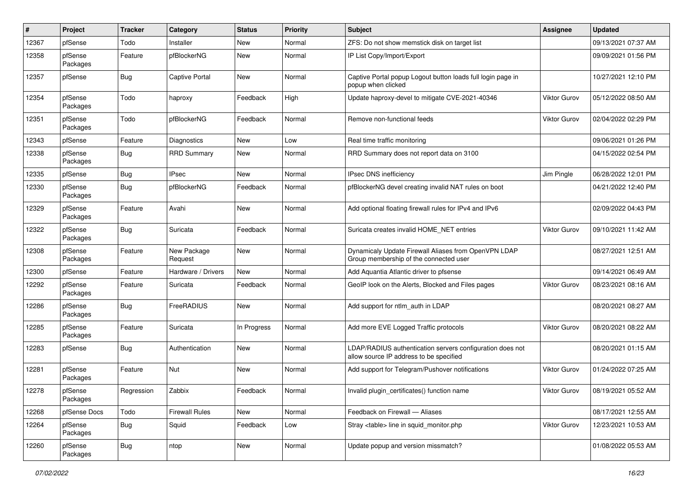| $\vert$ # | Project             | <b>Tracker</b> | Category               | <b>Status</b> | <b>Priority</b> | Subject                                                                                              | <b>Assignee</b>     | <b>Updated</b>      |
|-----------|---------------------|----------------|------------------------|---------------|-----------------|------------------------------------------------------------------------------------------------------|---------------------|---------------------|
| 12367     | pfSense             | Todo           | Installer              | New           | Normal          | ZFS: Do not show memstick disk on target list                                                        |                     | 09/13/2021 07:37 AM |
| 12358     | pfSense<br>Packages | Feature        | pfBlockerNG            | New           | Normal          | IP List Copy/Import/Export                                                                           |                     | 09/09/2021 01:56 PM |
| 12357     | pfSense             | <b>Bug</b>     | <b>Captive Portal</b>  | New           | Normal          | Captive Portal popup Logout button loads full login page in<br>popup when clicked                    |                     | 10/27/2021 12:10 PM |
| 12354     | pfSense<br>Packages | Todo           | haproxy                | Feedback      | High            | Update haproxy-devel to mitigate CVE-2021-40346                                                      | <b>Viktor Gurov</b> | 05/12/2022 08:50 AM |
| 12351     | pfSense<br>Packages | Todo           | pfBlockerNG            | Feedback      | Normal          | Remove non-functional feeds                                                                          | <b>Viktor Gurov</b> | 02/04/2022 02:29 PM |
| 12343     | pfSense             | Feature        | Diagnostics            | New           | Low             | Real time traffic monitoring                                                                         |                     | 09/06/2021 01:26 PM |
| 12338     | pfSense<br>Packages | Bug            | <b>RRD Summary</b>     | New           | Normal          | RRD Summary does not report data on 3100                                                             |                     | 04/15/2022 02:54 PM |
| 12335     | pfSense             | <b>Bug</b>     | <b>IPsec</b>           | <b>New</b>    | Normal          | IPsec DNS inefficiency                                                                               | Jim Pingle          | 06/28/2022 12:01 PM |
| 12330     | pfSense<br>Packages | Bug            | pfBlockerNG            | Feedback      | Normal          | pfBlockerNG devel creating invalid NAT rules on boot                                                 |                     | 04/21/2022 12:40 PM |
| 12329     | pfSense<br>Packages | Feature        | Avahi                  | <b>New</b>    | Normal          | Add optional floating firewall rules for IPv4 and IPv6                                               |                     | 02/09/2022 04:43 PM |
| 12322     | pfSense<br>Packages | Bug            | Suricata               | Feedback      | Normal          | Suricata creates invalid HOME_NET entries                                                            | <b>Viktor Gurov</b> | 09/10/2021 11:42 AM |
| 12308     | pfSense<br>Packages | Feature        | New Package<br>Request | New           | Normal          | Dynamicaly Update Firewall Aliases from OpenVPN LDAP<br>Group membership of the connected user       |                     | 08/27/2021 12:51 AM |
| 12300     | pfSense             | Feature        | Hardware / Drivers     | <b>New</b>    | Normal          | Add Aquantia Atlantic driver to pfsense                                                              |                     | 09/14/2021 06:49 AM |
| 12292     | pfSense<br>Packages | Feature        | Suricata               | Feedback      | Normal          | GeoIP look on the Alerts, Blocked and Files pages                                                    | <b>Viktor Gurov</b> | 08/23/2021 08:16 AM |
| 12286     | pfSense<br>Packages | Bug            | FreeRADIUS             | New           | Normal          | Add support for ntlm_auth in LDAP                                                                    |                     | 08/20/2021 08:27 AM |
| 12285     | pfSense<br>Packages | Feature        | Suricata               | In Progress   | Normal          | Add more EVE Logged Traffic protocols                                                                | Viktor Gurov        | 08/20/2021 08:22 AM |
| 12283     | pfSense             | Bug            | Authentication         | New           | Normal          | LDAP/RADIUS authentication servers configuration does not<br>allow source IP address to be specified |                     | 08/20/2021 01:15 AM |
| 12281     | pfSense<br>Packages | Feature        | Nut                    | New           | Normal          | Add support for Telegram/Pushover notifications                                                      | Viktor Gurov        | 01/24/2022 07:25 AM |
| 12278     | pfSense<br>Packages | Regression     | Zabbix                 | Feedback      | Normal          | Invalid plugin_certificates() function name                                                          | Viktor Gurov        | 08/19/2021 05:52 AM |
| 12268     | pfSense Docs        | Todo           | <b>Firewall Rules</b>  | New           | Normal          | Feedback on Firewall - Aliases                                                                       |                     | 08/17/2021 12:55 AM |
| 12264     | pfSense<br>Packages | <b>Bug</b>     | Squid                  | Feedback      | Low             | Stray <table> line in squid_monitor.php</table>                                                      | Viktor Gurov        | 12/23/2021 10:53 AM |
| 12260     | pfSense<br>Packages | Bug            | ntop                   | New           | Normal          | Update popup and version missmatch?                                                                  |                     | 01/08/2022 05:53 AM |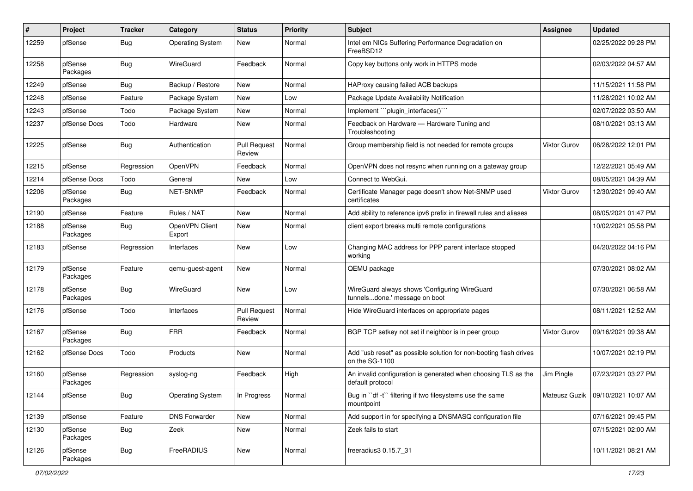| #     | Project             | <b>Tracker</b> | Category                 | <b>Status</b>                 | <b>Priority</b> | <b>Subject</b>                                                                      | <b>Assignee</b>     | <b>Updated</b>                      |
|-------|---------------------|----------------|--------------------------|-------------------------------|-----------------|-------------------------------------------------------------------------------------|---------------------|-------------------------------------|
| 12259 | pfSense             | Bug            | <b>Operating System</b>  | New                           | Normal          | Intel em NICs Suffering Performance Degradation on<br>FreeBSD12                     |                     | 02/25/2022 09:28 PM                 |
| 12258 | pfSense<br>Packages | Bug            | WireGuard                | Feedback                      | Normal          | Copy key buttons only work in HTTPS mode                                            |                     | 02/03/2022 04:57 AM                 |
| 12249 | pfSense             | <b>Bug</b>     | Backup / Restore         | New                           | Normal          | HAProxy causing failed ACB backups                                                  |                     | 11/15/2021 11:58 PM                 |
| 12248 | pfSense             | Feature        | Package System           | New                           | Low             | Package Update Availability Notification                                            |                     | 11/28/2021 10:02 AM                 |
| 12243 | pfSense             | Todo           | Package System           | New                           | Normal          | Implement ```plugin_interfaces()```                                                 |                     | 02/07/2022 03:50 AM                 |
| 12237 | pfSense Docs        | Todo           | Hardware                 | <b>New</b>                    | Normal          | Feedback on Hardware - Hardware Tuning and<br>Troubleshooting                       |                     | 08/10/2021 03:13 AM                 |
| 12225 | pfSense             | <b>Bug</b>     | Authentication           | <b>Pull Request</b><br>Review | Normal          | Group membership field is not needed for remote groups                              | <b>Viktor Gurov</b> | 06/28/2022 12:01 PM                 |
| 12215 | pfSense             | Regression     | OpenVPN                  | Feedback                      | Normal          | OpenVPN does not resync when running on a gateway group                             |                     | 12/22/2021 05:49 AM                 |
| 12214 | pfSense Docs        | Todo           | General                  | New                           | Low             | Connect to WebGui.                                                                  |                     | 08/05/2021 04:39 AM                 |
| 12206 | pfSense<br>Packages | Bug            | NET-SNMP                 | Feedback                      | Normal          | Certificate Manager page doesn't show Net-SNMP used<br>certificates                 | <b>Viktor Gurov</b> | 12/30/2021 09:40 AM                 |
| 12190 | pfSense             | Feature        | Rules / NAT              | <b>New</b>                    | Normal          | Add ability to reference ipv6 prefix in firewall rules and aliases                  |                     | 08/05/2021 01:47 PM                 |
| 12188 | pfSense<br>Packages | <b>Bug</b>     | OpenVPN Client<br>Export | New                           | Normal          | client export breaks multi remote configurations                                    |                     | 10/02/2021 05:58 PM                 |
| 12183 | pfSense             | Regression     | Interfaces               | New                           | Low             | Changing MAC address for PPP parent interface stopped<br>working                    |                     | 04/20/2022 04:16 PM                 |
| 12179 | pfSense<br>Packages | Feature        | qemu-guest-agent         | <b>New</b>                    | Normal          | QEMU package                                                                        |                     | 07/30/2021 08:02 AM                 |
| 12178 | pfSense<br>Packages | <b>Bug</b>     | WireGuard                | <b>New</b>                    | Low             | WireGuard always shows 'Configuring WireGuard<br>tunnelsdone.' message on boot      |                     | 07/30/2021 06:58 AM                 |
| 12176 | pfSense             | Todo           | Interfaces               | <b>Pull Request</b><br>Review | Normal          | Hide WireGuard interfaces on appropriate pages                                      |                     | 08/11/2021 12:52 AM                 |
| 12167 | pfSense<br>Packages | Bug            | <b>FRR</b>               | Feedback                      | Normal          | BGP TCP setkey not set if neighbor is in peer group                                 | Viktor Gurov        | 09/16/2021 09:38 AM                 |
| 12162 | pfSense Docs        | Todo           | Products                 | New                           | Normal          | Add "usb reset" as possible solution for non-booting flash drives<br>on the SG-1100 |                     | 10/07/2021 02:19 PM                 |
| 12160 | pfSense<br>Packages | Regression     | syslog-ng                | Feedback                      | High            | An invalid configuration is generated when choosing TLS as the<br>default protocol  | Jim Pingle          | 07/23/2021 03:27 PM                 |
| 12144 | pfSense             | <b>Bug</b>     | <b>Operating System</b>  | In Progress                   | Normal          | Bug in "df -t" filtering if two filesystems use the same<br>mountpoint              |                     | Mateusz Guzik   09/10/2021 10:07 AM |
| 12139 | pfSense             | Feature        | <b>DNS Forwarder</b>     | New                           | Normal          | Add support in for specifying a DNSMASQ configuration file                          |                     | 07/16/2021 09:45 PM                 |
| 12130 | pfSense<br>Packages | Bug            | Zeek                     | New                           | Normal          | Zeek fails to start                                                                 |                     | 07/15/2021 02:00 AM                 |
| 12126 | pfSense<br>Packages | Bug            | FreeRADIUS               | New                           | Normal          | freeradius3 0.15.7_31                                                               |                     | 10/11/2021 08:21 AM                 |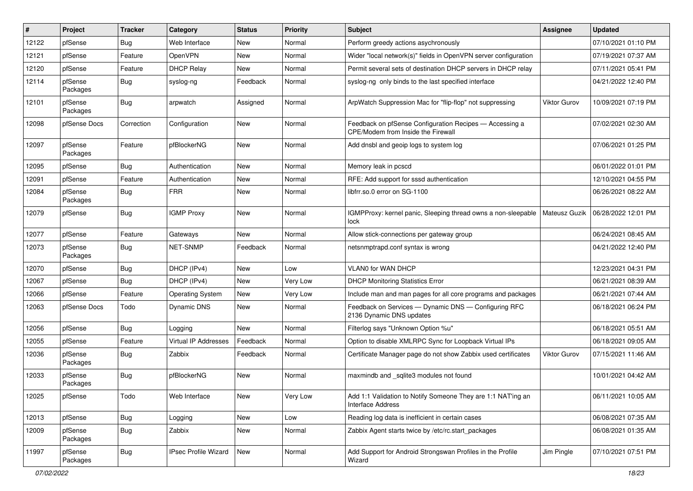| $\vert$ # | Project             | <b>Tracker</b> | Category                | <b>Status</b> | <b>Priority</b> | Subject                                                                                       | Assignee            | <b>Updated</b>      |
|-----------|---------------------|----------------|-------------------------|---------------|-----------------|-----------------------------------------------------------------------------------------------|---------------------|---------------------|
| 12122     | pfSense             | <b>Bug</b>     | Web Interface           | New           | Normal          | Perform greedy actions asychronously                                                          |                     | 07/10/2021 01:10 PM |
| 12121     | pfSense             | Feature        | OpenVPN                 | New           | Normal          | Wider "local network(s)" fields in OpenVPN server configuration                               |                     | 07/19/2021 07:37 AM |
| 12120     | pfSense             | Feature        | <b>DHCP Relay</b>       | New           | Normal          | Permit several sets of destination DHCP servers in DHCP relay                                 |                     | 07/11/2021 05:41 PM |
| 12114     | pfSense<br>Packages | <b>Bug</b>     | syslog-ng               | Feedback      | Normal          | syslog-ng only binds to the last specified interface                                          |                     | 04/21/2022 12:40 PM |
| 12101     | pfSense<br>Packages | <b>Bug</b>     | arpwatch                | Assigned      | Normal          | ArpWatch Suppression Mac for "flip-flop" not suppressing                                      | Viktor Gurov        | 10/09/2021 07:19 PM |
| 12098     | pfSense Docs        | Correction     | Configuration           | New           | Normal          | Feedback on pfSense Configuration Recipes - Accessing a<br>CPE/Modem from Inside the Firewall |                     | 07/02/2021 02:30 AM |
| 12097     | pfSense<br>Packages | Feature        | pfBlockerNG             | New           | Normal          | Add dnsbl and geoip logs to system log                                                        |                     | 07/06/2021 01:25 PM |
| 12095     | pfSense             | Bug            | Authentication          | New           | Normal          | Memory leak in pcscd                                                                          |                     | 06/01/2022 01:01 PM |
| 12091     | pfSense             | Feature        | Authentication          | New           | Normal          | RFE: Add support for sssd authentication                                                      |                     | 12/10/2021 04:55 PM |
| 12084     | pfSense<br>Packages | Bug            | <b>FRR</b>              | New           | Normal          | libfrr.so.0 error on SG-1100                                                                  |                     | 06/26/2021 08:22 AM |
| 12079     | pfSense             | Bug            | <b>IGMP Proxy</b>       | New           | Normal          | IGMPProxy: kernel panic, Sleeping thread owns a non-sleepable<br>lock                         | Mateusz Guzik       | 06/28/2022 12:01 PM |
| 12077     | pfSense             | Feature        | Gateways                | New           | Normal          | Allow stick-connections per gateway group                                                     |                     | 06/24/2021 08:45 AM |
| 12073     | pfSense<br>Packages | Bug            | <b>NET-SNMP</b>         | Feedback      | Normal          | netsnmptrapd.conf syntax is wrong                                                             |                     | 04/21/2022 12:40 PM |
| 12070     | pfSense             | Bug            | DHCP (IPv4)             | New           | Low             | <b>VLANO for WAN DHCP</b>                                                                     |                     | 12/23/2021 04:31 PM |
| 12067     | pfSense             | Bug            | DHCP (IPv4)             | New           | Very Low        | <b>DHCP Monitoring Statistics Error</b>                                                       |                     | 06/21/2021 08:39 AM |
| 12066     | pfSense             | Feature        | <b>Operating System</b> | New           | Very Low        | Include man and man pages for all core programs and packages                                  |                     | 06/21/2021 07:44 AM |
| 12063     | pfSense Docs        | Todo           | <b>Dynamic DNS</b>      | New           | Normal          | Feedback on Services - Dynamic DNS - Configuring RFC<br>2136 Dynamic DNS updates              |                     | 06/18/2021 06:24 PM |
| 12056     | pfSense             | <b>Bug</b>     | Logging                 | New           | Normal          | Filterlog says "Unknown Option %u"                                                            |                     | 06/18/2021 05:51 AM |
| 12055     | pfSense             | Feature        | Virtual IP Addresses    | Feedback      | Normal          | Option to disable XMLRPC Sync for Loopback Virtual IPs                                        |                     | 06/18/2021 09:05 AM |
| 12036     | pfSense<br>Packages | Bug            | Zabbix                  | Feedback      | Normal          | Certificate Manager page do not show Zabbix used certificates                                 | <b>Viktor Gurov</b> | 07/15/2021 11:46 AM |
| 12033     | pfSense<br>Packages | <b>Bug</b>     | pfBlockerNG             | New           | Normal          | maxmindb and _sqlite3 modules not found                                                       |                     | 10/01/2021 04:42 AM |
| 12025     | pfSense             | Todo           | Web Interface           | New           | Very Low        | Add 1:1 Validation to Notify Someone They are 1:1 NAT'ing an<br><b>Interface Address</b>      |                     | 06/11/2021 10:05 AM |
| 12013     | pfSense             | <b>Bug</b>     | Logging                 | New           | Low             | Reading log data is inefficient in certain cases                                              |                     | 06/08/2021 07:35 AM |
| 12009     | pfSense<br>Packages | <b>Bug</b>     | Zabbix                  | New           | Normal          | Zabbix Agent starts twice by /etc/rc.start packages                                           |                     | 06/08/2021 01:35 AM |
| 11997     | pfSense<br>Packages | <b>Bug</b>     | IPsec Profile Wizard    | New           | Normal          | Add Support for Android Strongswan Profiles in the Profile<br>Wizard                          | Jim Pingle          | 07/10/2021 07:51 PM |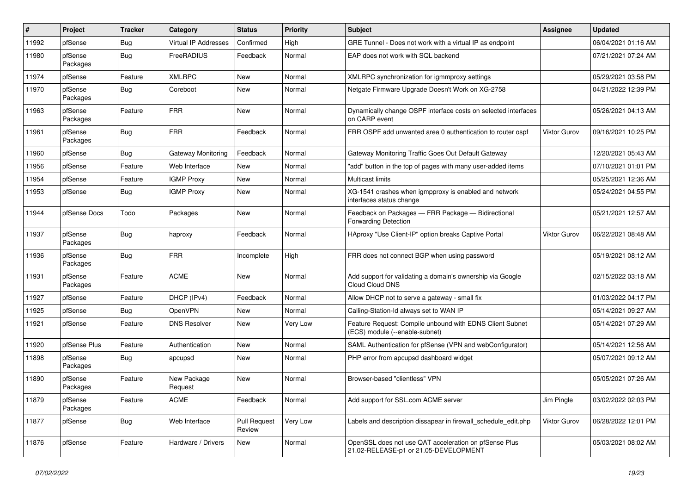| #     | Project             | <b>Tracker</b> | Category                  | <b>Status</b>                 | <b>Priority</b> | Subject                                                                                        | <b>Assignee</b>     | <b>Updated</b>      |
|-------|---------------------|----------------|---------------------------|-------------------------------|-----------------|------------------------------------------------------------------------------------------------|---------------------|---------------------|
| 11992 | pfSense             | <b>Bug</b>     | Virtual IP Addresses      | Confirmed                     | High            | GRE Tunnel - Does not work with a virtual IP as endpoint                                       |                     | 06/04/2021 01:16 AM |
| 11980 | pfSense<br>Packages | <b>Bug</b>     | FreeRADIUS                | Feedback                      | Normal          | EAP does not work with SQL backend                                                             |                     | 07/21/2021 07:24 AM |
| 11974 | pfSense             | Feature        | <b>XMLRPC</b>             | <b>New</b>                    | Normal          | XMLRPC synchronization for igmmproxy settings                                                  |                     | 05/29/2021 03:58 PM |
| 11970 | pfSense<br>Packages | <b>Bug</b>     | Coreboot                  | New                           | Normal          | Netgate Firmware Upgrade Doesn't Work on XG-2758                                               |                     | 04/21/2022 12:39 PM |
| 11963 | pfSense<br>Packages | Feature        | <b>FRR</b>                | New                           | Normal          | Dynamically change OSPF interface costs on selected interfaces<br>on CARP event                |                     | 05/26/2021 04:13 AM |
| 11961 | pfSense<br>Packages | <b>Bug</b>     | <b>FRR</b>                | Feedback                      | Normal          | FRR OSPF add unwanted area 0 authentication to router ospf                                     | <b>Viktor Gurov</b> | 09/16/2021 10:25 PM |
| 11960 | pfSense             | Bug            | <b>Gateway Monitoring</b> | Feedback                      | Normal          | Gateway Monitoring Traffic Goes Out Default Gateway                                            |                     | 12/20/2021 05:43 AM |
| 11956 | pfSense             | Feature        | Web Interface             | New                           | Normal          | "add" button in the top of pages with many user-added items                                    |                     | 07/10/2021 01:01 PM |
| 11954 | pfSense             | Feature        | <b>IGMP Proxy</b>         | <b>New</b>                    | Normal          | <b>Multicast limits</b>                                                                        |                     | 05/25/2021 12:36 AM |
| 11953 | pfSense             | <b>Bug</b>     | <b>IGMP Proxy</b>         | New                           | Normal          | XG-1541 crashes when igmpproxy is enabled and network<br>interfaces status change              |                     | 05/24/2021 04:55 PM |
| 11944 | pfSense Docs        | Todo           | Packages                  | New                           | Normal          | Feedback on Packages - FRR Package - Bidirectional<br><b>Forwarding Detection</b>              |                     | 05/21/2021 12:57 AM |
| 11937 | pfSense<br>Packages | Bug            | haproxy                   | Feedback                      | Normal          | HAproxy "Use Client-IP" option breaks Captive Portal                                           | <b>Viktor Gurov</b> | 06/22/2021 08:48 AM |
| 11936 | pfSense<br>Packages | <b>Bug</b>     | <b>FRR</b>                | Incomplete                    | High            | FRR does not connect BGP when using password                                                   |                     | 05/19/2021 08:12 AM |
| 11931 | pfSense<br>Packages | Feature        | <b>ACME</b>               | <b>New</b>                    | Normal          | Add support for validating a domain's ownership via Google<br>Cloud Cloud DNS                  |                     | 02/15/2022 03:18 AM |
| 11927 | pfSense             | Feature        | DHCP (IPv4)               | Feedback                      | Normal          | Allow DHCP not to serve a gateway - small fix                                                  |                     | 01/03/2022 04:17 PM |
| 11925 | pfSense             | Bug            | OpenVPN                   | New                           | Normal          | Calling-Station-Id always set to WAN IP                                                        |                     | 05/14/2021 09:27 AM |
| 11921 | pfSense             | Feature        | <b>DNS Resolver</b>       | New                           | Very Low        | Feature Request: Compile unbound with EDNS Client Subnet<br>(ECS) module (--enable-subnet)     |                     | 05/14/2021 07:29 AM |
| 11920 | pfSense Plus        | Feature        | Authentication            | New                           | Normal          | SAML Authentication for pfSense (VPN and webConfigurator)                                      |                     | 05/14/2021 12:56 AM |
| 11898 | pfSense<br>Packages | <b>Bug</b>     | apcupsd                   | New                           | Normal          | PHP error from apcupsd dashboard widget                                                        |                     | 05/07/2021 09:12 AM |
| 11890 | pfSense<br>Packages | Feature        | New Package<br>Request    | <b>New</b>                    | Normal          | Browser-based "clientless" VPN                                                                 |                     | 05/05/2021 07:26 AM |
| 11879 | pfSense<br>Packages | Feature        | <b>ACME</b>               | Feedback                      | Normal          | Add support for SSL.com ACME server                                                            | Jim Pingle          | 03/02/2022 02:03 PM |
| 11877 | pfSense             | Bug            | Web Interface             | <b>Pull Request</b><br>Review | Very Low        | Labels and description dissapear in firewall_schedule_edit.php                                 | <b>Viktor Gurov</b> | 06/28/2022 12:01 PM |
| 11876 | pfSense             | Feature        | Hardware / Drivers        | New                           | Normal          | OpenSSL does not use QAT acceleration on pfSense Plus<br>21.02-RELEASE-p1 or 21.05-DEVELOPMENT |                     | 05/03/2021 08:02 AM |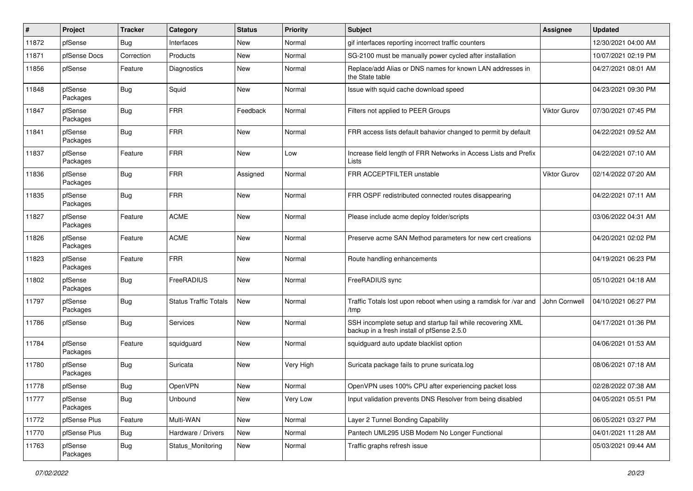| #     | Project             | <b>Tracker</b> | Category                     | <b>Status</b> | <b>Priority</b> | Subject                                                                                                  | Assignee            | <b>Updated</b>      |
|-------|---------------------|----------------|------------------------------|---------------|-----------------|----------------------------------------------------------------------------------------------------------|---------------------|---------------------|
| 11872 | pfSense             | <b>Bug</b>     | Interfaces                   | New           | Normal          | gif interfaces reporting incorrect traffic counters                                                      |                     | 12/30/2021 04:00 AM |
| 11871 | pfSense Docs        | Correction     | Products                     | <b>New</b>    | Normal          | SG-2100 must be manually power cycled after installation                                                 |                     | 10/07/2021 02:19 PM |
| 11856 | pfSense             | Feature        | <b>Diagnostics</b>           | New           | Normal          | Replace/add Alias or DNS names for known LAN addresses in<br>the State table                             |                     | 04/27/2021 08:01 AM |
| 11848 | pfSense<br>Packages | <b>Bug</b>     | Squid                        | <b>New</b>    | Normal          | Issue with squid cache download speed                                                                    |                     | 04/23/2021 09:30 PM |
| 11847 | pfSense<br>Packages | <b>Bug</b>     | <b>FRR</b>                   | Feedback      | Normal          | Filters not applied to PEER Groups                                                                       | <b>Viktor Gurov</b> | 07/30/2021 07:45 PM |
| 11841 | pfSense<br>Packages | <b>Bug</b>     | <b>FRR</b>                   | <b>New</b>    | Normal          | FRR access lists default bahavior changed to permit by default                                           |                     | 04/22/2021 09:52 AM |
| 11837 | pfSense<br>Packages | Feature        | <b>FRR</b>                   | New           | Low             | Increase field length of FRR Networks in Access Lists and Prefix<br>Lists                                |                     | 04/22/2021 07:10 AM |
| 11836 | pfSense<br>Packages | Bug            | <b>FRR</b>                   | Assigned      | Normal          | FRR ACCEPTFILTER unstable                                                                                | <b>Viktor Gurov</b> | 02/14/2022 07:20 AM |
| 11835 | pfSense<br>Packages | <b>Bug</b>     | <b>FRR</b>                   | <b>New</b>    | Normal          | FRR OSPF redistributed connected routes disappearing                                                     |                     | 04/22/2021 07:11 AM |
| 11827 | pfSense<br>Packages | Feature        | <b>ACME</b>                  | <b>New</b>    | Normal          | Please include acme deploy folder/scripts                                                                |                     | 03/06/2022 04:31 AM |
| 11826 | pfSense<br>Packages | Feature        | <b>ACME</b>                  | <b>New</b>    | Normal          | Preserve acme SAN Method parameters for new cert creations                                               |                     | 04/20/2021 02:02 PM |
| 11823 | pfSense<br>Packages | Feature        | <b>FRR</b>                   | <b>New</b>    | Normal          | Route handling enhancements                                                                              |                     | 04/19/2021 06:23 PM |
| 11802 | pfSense<br>Packages | <b>Bug</b>     | FreeRADIUS                   | New           | Normal          | FreeRADIUS sync                                                                                          |                     | 05/10/2021 04:18 AM |
| 11797 | pfSense<br>Packages | <b>Bug</b>     | <b>Status Traffic Totals</b> | New           | Normal          | Traffic Totals lost upon reboot when using a ramdisk for /var and<br>/tmp                                | John Cornwell       | 04/10/2021 06:27 PM |
| 11786 | pfSense             | <b>Bug</b>     | <b>Services</b>              | New           | Normal          | SSH incomplete setup and startup fail while recovering XML<br>backup in a fresh install of pfSense 2.5.0 |                     | 04/17/2021 01:36 PM |
| 11784 | pfSense<br>Packages | Feature        | squidguard                   | New           | Normal          | squidguard auto update blacklist option                                                                  |                     | 04/06/2021 01:53 AM |
| 11780 | pfSense<br>Packages | Bug            | Suricata                     | New           | Very High       | Suricata package fails to prune suricata.log                                                             |                     | 08/06/2021 07:18 AM |
| 11778 | pfSense             | Bug            | <b>OpenVPN</b>               | New           | Normal          | OpenVPN uses 100% CPU after experiencing packet loss                                                     |                     | 02/28/2022 07:38 AM |
| 11777 | pfSense<br>Packages | <b>Bug</b>     | Unbound                      | New           | Very Low        | Input validation prevents DNS Resolver from being disabled                                               |                     | 04/05/2021 05:51 PM |
| 11772 | pfSense Plus        | Feature        | Multi-WAN                    | New           | Normal          | Layer 2 Tunnel Bonding Capability                                                                        |                     | 06/05/2021 03:27 PM |
| 11770 | pfSense Plus        | <b>Bug</b>     | Hardware / Drivers           | New           | Normal          | Pantech UML295 USB Modem No Longer Functional                                                            |                     | 04/01/2021 11:28 AM |
| 11763 | pfSense<br>Packages | <b>Bug</b>     | Status_Monitoring            | New           | Normal          | Traffic graphs refresh issue                                                                             |                     | 05/03/2021 09:44 AM |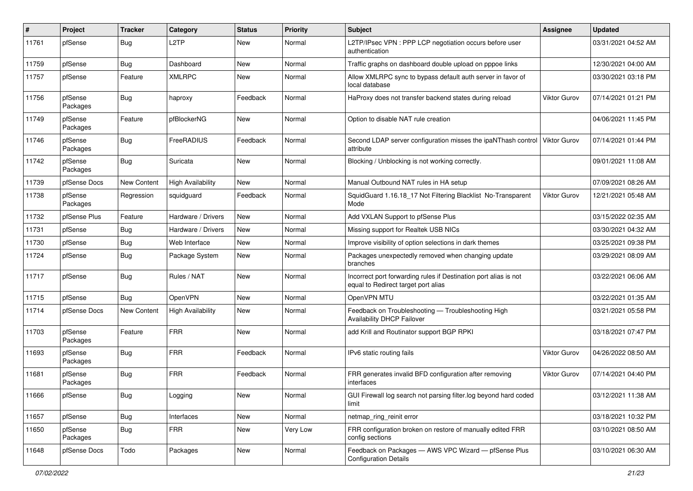| #     | Project             | <b>Tracker</b>     | Category                 | <b>Status</b> | <b>Priority</b> | <b>Subject</b>                                                                                          | Assignee            | <b>Updated</b>      |
|-------|---------------------|--------------------|--------------------------|---------------|-----------------|---------------------------------------------------------------------------------------------------------|---------------------|---------------------|
| 11761 | pfSense             | <b>Bug</b>         | L <sub>2</sub> TP        | New           | Normal          | L2TP/IPsec VPN : PPP LCP negotiation occurs before user<br>authentication                               |                     | 03/31/2021 04:52 AM |
| 11759 | pfSense             | Bug                | Dashboard                | New           | Normal          | Traffic graphs on dashboard double upload on pppoe links                                                |                     | 12/30/2021 04:00 AM |
| 11757 | pfSense             | Feature            | <b>XMLRPC</b>            | <b>New</b>    | Normal          | Allow XMLRPC sync to bypass default auth server in favor of<br>local database                           |                     | 03/30/2021 03:18 PM |
| 11756 | pfSense<br>Packages | <b>Bug</b>         | haproxy                  | Feedback      | Normal          | HaProxy does not transfer backend states during reload                                                  | <b>Viktor Gurov</b> | 07/14/2021 01:21 PM |
| 11749 | pfSense<br>Packages | Feature            | pfBlockerNG              | <b>New</b>    | Normal          | Option to disable NAT rule creation                                                                     |                     | 04/06/2021 11:45 PM |
| 11746 | pfSense<br>Packages | <b>Bug</b>         | FreeRADIUS               | Feedback      | Normal          | Second LDAP server configuration misses the ipaNThash control   Viktor Gurov<br>attribute               |                     | 07/14/2021 01:44 PM |
| 11742 | pfSense<br>Packages | <b>Bug</b>         | Suricata                 | New           | Normal          | Blocking / Unblocking is not working correctly.                                                         |                     | 09/01/2021 11:08 AM |
| 11739 | pfSense Docs        | New Content        | <b>High Availability</b> | New           | Normal          | Manual Outbound NAT rules in HA setup                                                                   |                     | 07/09/2021 08:26 AM |
| 11738 | pfSense<br>Packages | Regression         | squidguard               | Feedback      | Normal          | SquidGuard 1.16.18_17 Not Filtering Blacklist No-Transparent<br>Mode                                    | <b>Viktor Gurov</b> | 12/21/2021 05:48 AM |
| 11732 | pfSense Plus        | Feature            | Hardware / Drivers       | New           | Normal          | Add VXLAN Support to pfSense Plus                                                                       |                     | 03/15/2022 02:35 AM |
| 11731 | pfSense             | Bug                | Hardware / Drivers       | <b>New</b>    | Normal          | Missing support for Realtek USB NICs                                                                    |                     | 03/30/2021 04:32 AM |
| 11730 | pfSense             | <b>Bug</b>         | Web Interface            | <b>New</b>    | Normal          | Improve visibility of option selections in dark themes                                                  |                     | 03/25/2021 09:38 PM |
| 11724 | pfSense             | <b>Bug</b>         | Package System           | New           | Normal          | Packages unexpectedly removed when changing update<br>branches                                          |                     | 03/29/2021 08:09 AM |
| 11717 | pfSense             | <b>Bug</b>         | Rules / NAT              | New           | Normal          | Incorrect port forwarding rules if Destination port alias is not<br>equal to Redirect target port alias |                     | 03/22/2021 06:06 AM |
| 11715 | pfSense             | <b>Bug</b>         | OpenVPN                  | <b>New</b>    | Normal          | OpenVPN MTU                                                                                             |                     | 03/22/2021 01:35 AM |
| 11714 | pfSense Docs        | <b>New Content</b> | <b>High Availability</b> | <b>New</b>    | Normal          | Feedback on Troubleshooting - Troubleshooting High<br>Availability DHCP Failover                        |                     | 03/21/2021 05:58 PM |
| 11703 | pfSense<br>Packages | Feature            | <b>FRR</b>               | <b>New</b>    | Normal          | add Krill and Routinator support BGP RPKI                                                               |                     | 03/18/2021 07:47 PM |
| 11693 | pfSense<br>Packages | <b>Bug</b>         | <b>FRR</b>               | Feedback      | Normal          | IPv6 static routing fails                                                                               | Viktor Gurov        | 04/26/2022 08:50 AM |
| 11681 | pfSense<br>Packages | <b>Bug</b>         | <b>FRR</b>               | Feedback      | Normal          | FRR generates invalid BFD configuration after removing<br>interfaces                                    | <b>Viktor Gurov</b> | 07/14/2021 04:40 PM |
| 11666 | pfSense             | <b>Bug</b>         | Logging                  | New           | Normal          | GUI Firewall log search not parsing filter.log beyond hard coded<br>limit                               |                     | 03/12/2021 11:38 AM |
| 11657 | pfSense             | <b>Bug</b>         | Interfaces               | New           | Normal          | netmap_ring_reinit error                                                                                |                     | 03/18/2021 10:32 PM |
| 11650 | pfSense<br>Packages | <b>Bug</b>         | <b>FRR</b>               | New           | Very Low        | FRR configuration broken on restore of manually edited FRR<br>config sections                           |                     | 03/10/2021 08:50 AM |
| 11648 | pfSense Docs        | Todo               | Packages                 | New           | Normal          | Feedback on Packages - AWS VPC Wizard - pfSense Plus<br><b>Configuration Details</b>                    |                     | 03/10/2021 06:30 AM |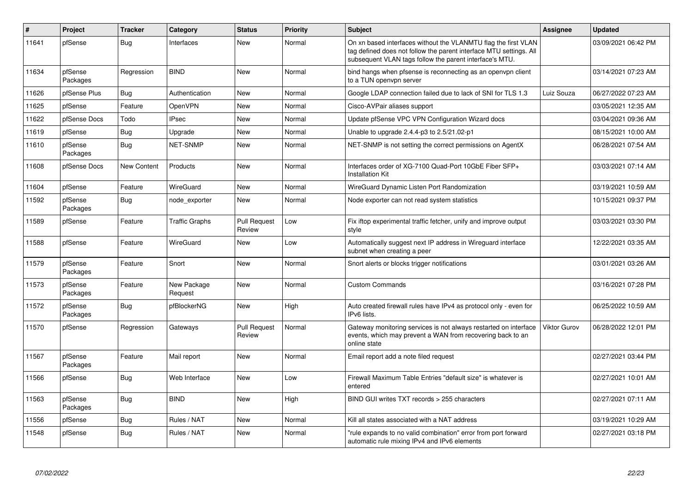| $\vert$ # | Project             | <b>Tracker</b> | Category               | <b>Status</b>                 | <b>Priority</b> | <b>Subject</b>                                                                                                                                                                                  | <b>Assignee</b>     | <b>Updated</b>      |
|-----------|---------------------|----------------|------------------------|-------------------------------|-----------------|-------------------------------------------------------------------------------------------------------------------------------------------------------------------------------------------------|---------------------|---------------------|
| 11641     | pfSense             | <b>Bug</b>     | Interfaces             | <b>New</b>                    | Normal          | On xn based interfaces without the VLANMTU flag the first VLAN<br>tag defined does not follow the parent interface MTU settings. All<br>subsequent VLAN tags follow the parent interface's MTU. |                     | 03/09/2021 06:42 PM |
| 11634     | pfSense<br>Packages | Regression     | <b>BIND</b>            | <b>New</b>                    | Normal          | bind hangs when pfsense is reconnecting as an openypn client<br>to a TUN openypn server                                                                                                         |                     | 03/14/2021 07:23 AM |
| 11626     | pfSense Plus        | Bug            | Authentication         | New                           | Normal          | Google LDAP connection failed due to lack of SNI for TLS 1.3                                                                                                                                    | Luiz Souza          | 06/27/2022 07:23 AM |
| 11625     | pfSense             | Feature        | OpenVPN                | <b>New</b>                    | Normal          | Cisco-AVPair aliases support                                                                                                                                                                    |                     | 03/05/2021 12:35 AM |
| 11622     | pfSense Docs        | Todo           | <b>IPsec</b>           | New                           | Normal          | Update pfSense VPC VPN Configuration Wizard docs                                                                                                                                                |                     | 03/04/2021 09:36 AM |
| 11619     | pfSense             | <b>Bug</b>     | Upgrade                | <b>New</b>                    | Normal          | Unable to upgrade 2.4.4-p3 to 2.5/21.02-p1                                                                                                                                                      |                     | 08/15/2021 10:00 AM |
| 11610     | pfSense<br>Packages | <b>Bug</b>     | <b>NET-SNMP</b>        | <b>New</b>                    | Normal          | NET-SNMP is not setting the correct permissions on AgentX                                                                                                                                       |                     | 06/28/2021 07:54 AM |
| 11608     | pfSense Docs        | New Content    | Products               | <b>New</b>                    | Normal          | Interfaces order of XG-7100 Quad-Port 10GbE Fiber SFP+<br><b>Installation Kit</b>                                                                                                               |                     | 03/03/2021 07:14 AM |
| 11604     | pfSense             | Feature        | WireGuard              | <b>New</b>                    | Normal          | WireGuard Dynamic Listen Port Randomization                                                                                                                                                     |                     | 03/19/2021 10:59 AM |
| 11592     | pfSense<br>Packages | Bug            | node exporter          | New                           | Normal          | Node exporter can not read system statistics                                                                                                                                                    |                     | 10/15/2021 09:37 PM |
| 11589     | pfSense             | Feature        | <b>Traffic Graphs</b>  | <b>Pull Request</b><br>Review | Low             | Fix iftop experimental traffic fetcher, unify and improve output<br>style                                                                                                                       |                     | 03/03/2021 03:30 PM |
| 11588     | pfSense             | Feature        | WireGuard              | <b>New</b>                    | Low             | Automatically suggest next IP address in Wireguard interface<br>subnet when creating a peer                                                                                                     |                     | 12/22/2021 03:35 AM |
| 11579     | pfSense<br>Packages | Feature        | Snort                  | <b>New</b>                    | Normal          | Snort alerts or blocks trigger notifications                                                                                                                                                    |                     | 03/01/2021 03:26 AM |
| 11573     | pfSense<br>Packages | Feature        | New Package<br>Request | New                           | Normal          | <b>Custom Commands</b>                                                                                                                                                                          |                     | 03/16/2021 07:28 PM |
| 11572     | pfSense<br>Packages | Bug            | pfBlockerNG            | New                           | High            | Auto created firewall rules have IPv4 as protocol only - even for<br>IPv6 lists.                                                                                                                |                     | 06/25/2022 10:59 AM |
| 11570     | pfSense             | Regression     | Gateways               | <b>Pull Request</b><br>Review | Normal          | Gateway monitoring services is not always restarted on interface<br>events, which may prevent a WAN from recovering back to an<br>online state                                                  | <b>Viktor Gurov</b> | 06/28/2022 12:01 PM |
| 11567     | pfSense<br>Packages | Feature        | Mail report            | <b>New</b>                    | Normal          | Email report add a note filed request                                                                                                                                                           |                     | 02/27/2021 03:44 PM |
| 11566     | pfSense             | Bug            | Web Interface          | New                           | Low             | Firewall Maximum Table Entries "default size" is whatever is<br>entered                                                                                                                         |                     | 02/27/2021 10:01 AM |
| 11563     | pfSense<br>Packages | <b>Bug</b>     | <b>BIND</b>            | <b>New</b>                    | High            | BIND GUI writes TXT records > 255 characters                                                                                                                                                    |                     | 02/27/2021 07:11 AM |
| 11556     | pfSense             | Bug            | Rules / NAT            | <b>New</b>                    | Normal          | Kill all states associated with a NAT address                                                                                                                                                   |                     | 03/19/2021 10:29 AM |
| 11548     | pfSense             | <b>Bug</b>     | Rules / NAT            | <b>New</b>                    | Normal          | "rule expands to no valid combination" error from port forward<br>automatic rule mixing IPv4 and IPv6 elements                                                                                  |                     | 02/27/2021 03:18 PM |